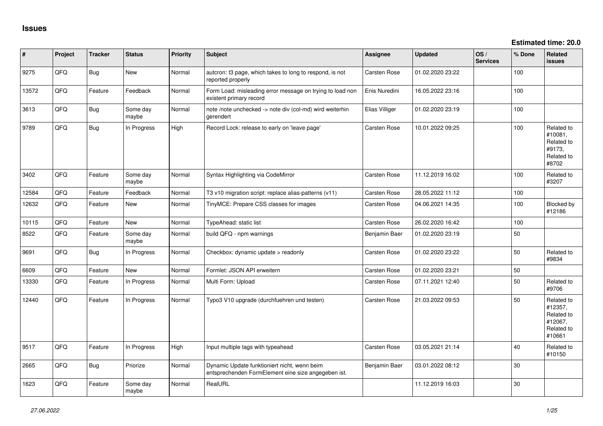| $\vert$ # | Project | <b>Tracker</b> | <b>Status</b>     | <b>Priority</b> | <b>Subject</b>                                                                                      | <b>Assignee</b> | <b>Updated</b>   | OS/<br><b>Services</b> | % Done | <b>Related</b><br><b>issues</b>                                        |
|-----------|---------|----------------|-------------------|-----------------|-----------------------------------------------------------------------------------------------------|-----------------|------------------|------------------------|--------|------------------------------------------------------------------------|
| 9275      | QFQ     | Bug            | New               | Normal          | autcron: t3 page, which takes to long to respond, is not<br>reported properly                       | Carsten Rose    | 01.02.2020 23:22 |                        | 100    |                                                                        |
| 13572     | QFQ     | Feature        | Feedback          | Normal          | Form Load: misleading error message on trying to load non<br>existent primary record                | Enis Nuredini   | 16.05.2022 23:16 |                        | 100    |                                                                        |
| 3613      | QFQ     | Bug            | Some day<br>maybe | Normal          | note /note unchecked -> note div (col-md) wird weiterhin<br>gerendert                               | Elias Villiger  | 01.02.2020 23:19 |                        | 100    |                                                                        |
| 9789      | QFQ     | Bug            | In Progress       | High            | Record Lock: release to early on 'leave page'                                                       | Carsten Rose    | 10.01.2022 09:25 |                        | 100    | Related to<br>#10081,<br>Related to<br>#9173,<br>Related to<br>#8702   |
| 3402      | QFQ     | Feature        | Some day<br>maybe | Normal          | Syntax Highlighting via CodeMirror                                                                  | Carsten Rose    | 11.12.2019 16:02 |                        | 100    | Related to<br>#3207                                                    |
| 12584     | QFQ     | Feature        | Feedback          | Normal          | T3 v10 migration script: replace alias-patterns (v11)                                               | Carsten Rose    | 28.05.2022 11:12 |                        | 100    |                                                                        |
| 12632     | QFQ     | Feature        | <b>New</b>        | Normal          | TinyMCE: Prepare CSS classes for images                                                             | Carsten Rose    | 04.06.2021 14:35 |                        | 100    | Blocked by<br>#12186                                                   |
| 10115     | QFQ     | Feature        | <b>New</b>        | Normal          | TypeAhead: static list                                                                              | Carsten Rose    | 26.02.2020 16:42 |                        | 100    |                                                                        |
| 8522      | QFQ     | Feature        | Some day<br>maybe | Normal          | build QFQ - npm warnings                                                                            | Benjamin Baer   | 01.02.2020 23:19 |                        | 50     |                                                                        |
| 9691      | QFQ     | Bug            | In Progress       | Normal          | Checkbox: dynamic update > readonly                                                                 | Carsten Rose    | 01.02.2020 23:22 |                        | 50     | Related to<br>#9834                                                    |
| 6609      | QFQ     | Feature        | <b>New</b>        | Normal          | Formlet: JSON API erweitern                                                                         | Carsten Rose    | 01.02.2020 23:21 |                        | 50     |                                                                        |
| 13330     | QFQ     | Feature        | In Progress       | Normal          | Multi Form: Upload                                                                                  | Carsten Rose    | 07.11.2021 12:40 |                        | 50     | Related to<br>#9706                                                    |
| 12440     | QFQ     | Feature        | In Progress       | Normal          | Typo3 V10 upgrade (durchfuehren und testen)                                                         | Carsten Rose    | 21.03.2022 09:53 |                        | 50     | Related to<br>#12357,<br>Related to<br>#12067,<br>Related to<br>#10661 |
| 9517      | QFQ     | Feature        | In Progress       | High            | Input multiple tags with typeahead                                                                  | Carsten Rose    | 03.05.2021 21:14 |                        | 40     | Related to<br>#10150                                                   |
| 2665      | QFQ     | Bug            | Priorize          | Normal          | Dynamic Update funktioniert nicht, wenn beim<br>entsprechenden FormElement eine size angegeben ist. | Benjamin Baer   | 03.01.2022 08:12 |                        | 30     |                                                                        |
| 1623      | QFQ     | Feature        | Some day<br>maybe | Normal          | RealURL                                                                                             |                 | 11.12.2019 16:03 |                        | 30     |                                                                        |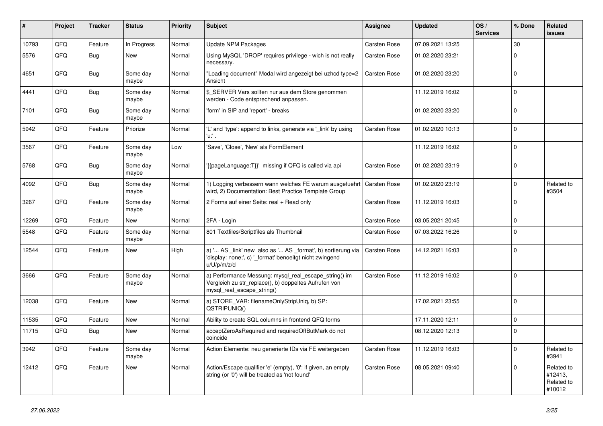| ∦     | Project | <b>Tracker</b> | <b>Status</b>     | <b>Priority</b> | <b>Subject</b>                                                                                                                               | Assignee            | <b>Updated</b>   | OS/<br><b>Services</b> | % Done      | Related<br><b>issues</b>                      |
|-------|---------|----------------|-------------------|-----------------|----------------------------------------------------------------------------------------------------------------------------------------------|---------------------|------------------|------------------------|-------------|-----------------------------------------------|
| 10793 | QFQ     | Feature        | In Progress       | Normal          | <b>Update NPM Packages</b>                                                                                                                   | Carsten Rose        | 07.09.2021 13:25 |                        | 30          |                                               |
| 5576  | QFQ     | <b>Bug</b>     | New               | Normal          | Using MySQL 'DROP' requires privilege - wich is not really<br>necessary.                                                                     | Carsten Rose        | 01.02.2020 23:21 |                        | $\Omega$    |                                               |
| 4651  | QFQ     | <b>Bug</b>     | Some day<br>maybe | Normal          | "Loading document" Modal wird angezeigt bei uzhcd type=2<br>Ansicht                                                                          | Carsten Rose        | 01.02.2020 23:20 |                        | $\Omega$    |                                               |
| 4441  | QFQ     | Bug            | Some day<br>maybe | Normal          | \$ SERVER Vars sollten nur aus dem Store genommen<br>werden - Code entsprechend anpassen.                                                    |                     | 11.12.2019 16:02 |                        | $\Omega$    |                                               |
| 7101  | QFQ     | <b>Bug</b>     | Some day<br>maybe | Normal          | 'form' in SIP and 'report' - breaks                                                                                                          |                     | 01.02.2020 23:20 |                        | $\Omega$    |                                               |
| 5942  | QFQ     | Feature        | Priorize          | Normal          | 'L' and 'type': append to links, generate via '_link' by using<br>'u:' .                                                                     | <b>Carsten Rose</b> | 01.02.2020 10:13 |                        | $\Omega$    |                                               |
| 3567  | QFQ     | Feature        | Some day<br>maybe | Low             | 'Save', 'Close', 'New' als FormElement                                                                                                       |                     | 11.12.2019 16:02 |                        | $\Omega$    |                                               |
| 5768  | QFQ     | <b>Bug</b>     | Some day<br>maybe | Normal          | '{{pageLanguage:T}}' missing if QFQ is called via api                                                                                        | Carsten Rose        | 01.02.2020 23:19 |                        | $\Omega$    |                                               |
| 4092  | QFQ     | <b>Bug</b>     | Some day<br>maybe | Normal          | 1) Logging verbessern wann welches FE warum ausgefuehrt<br>wird, 2) Documentation: Best Practice Template Group                              | <b>Carsten Rose</b> | 01.02.2020 23:19 |                        | $\Omega$    | Related to<br>#3504                           |
| 3267  | QFQ     | Feature        | Some day<br>maybe | Normal          | 2 Forms auf einer Seite: real + Read only                                                                                                    | Carsten Rose        | 11.12.2019 16:03 |                        | $\Omega$    |                                               |
| 12269 | QFQ     | Feature        | <b>New</b>        | Normal          | 2FA - Login                                                                                                                                  | Carsten Rose        | 03.05.2021 20:45 |                        | $\Omega$    |                                               |
| 5548  | QFQ     | Feature        | Some day<br>maybe | Normal          | 801 Textfiles/Scriptfiles als Thumbnail                                                                                                      | Carsten Rose        | 07.03.2022 16:26 |                        | $\Omega$    |                                               |
| 12544 | QFQ     | Feature        | New               | High            | a) ' AS _link' new also as ' AS _format', b) sortierung via<br>'display: none;', c) '_format' benoeitgt nicht zwingend<br>u/U/p/m/z/d        | Carsten Rose        | 14.12.2021 16:03 |                        | $\mathbf 0$ |                                               |
| 3666  | QFQ     | Feature        | Some day<br>maybe | Normal          | a) Performance Messung: mysql_real_escape_string() im<br>Vergleich zu str replace(), b) doppeltes Aufrufen von<br>mysql_real_escape_string() | Carsten Rose        | 11.12.2019 16:02 |                        | $\Omega$    |                                               |
| 12038 | QFQ     | Feature        | New               | Normal          | a) STORE_VAR: filenameOnlyStripUniq, b) SP:<br>QSTRIPUNIQ()                                                                                  |                     | 17.02.2021 23:55 |                        | $\Omega$    |                                               |
| 11535 | QFQ     | Feature        | <b>New</b>        | Normal          | Ability to create SQL columns in frontend QFQ forms                                                                                          |                     | 17.11.2020 12:11 |                        | $\mathbf 0$ |                                               |
| 11715 | QFQ     | Bug            | New               | Normal          | acceptZeroAsRequired and requiredOffButMark do not<br>coincide                                                                               |                     | 08.12.2020 12:13 |                        | $\Omega$    |                                               |
| 3942  | QFQ     | Feature        | Some day<br>maybe | Normal          | Action Elemente: neu generierte IDs via FE weitergeben                                                                                       | Carsten Rose        | 11.12.2019 16:03 |                        | $\Omega$    | Related to<br>#3941                           |
| 12412 | QFQ     | Feature        | <b>New</b>        | Normal          | Action/Escape qualifier 'e' (empty), '0': if given, an empty<br>string (or '0') will be treated as 'not found'                               | Carsten Rose        | 08.05.2021 09:40 |                        | $\Omega$    | Related to<br>#12413,<br>Related to<br>#10012 |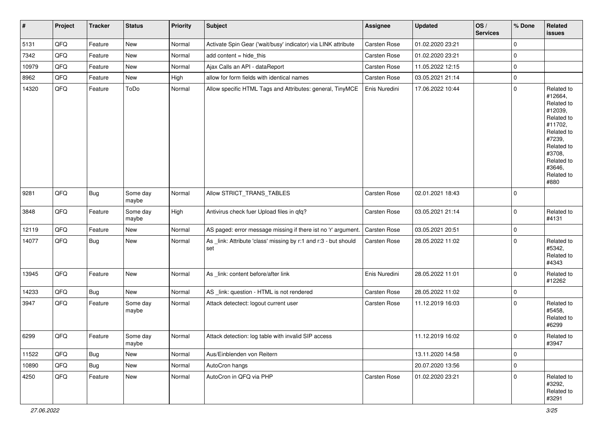| #     | Project | <b>Tracker</b> | <b>Status</b>     | <b>Priority</b> | <b>Subject</b>                                                         | <b>Assignee</b> | <b>Updated</b>   | OS/<br><b>Services</b> | % Done      | Related<br>issues                                                                                                                                                     |
|-------|---------|----------------|-------------------|-----------------|------------------------------------------------------------------------|-----------------|------------------|------------------------|-------------|-----------------------------------------------------------------------------------------------------------------------------------------------------------------------|
| 5131  | QFQ     | Feature        | New               | Normal          | Activate Spin Gear ('wait/busy' indicator) via LINK attribute          | Carsten Rose    | 01.02.2020 23:21 |                        | 0           |                                                                                                                                                                       |
| 7342  | QFQ     | Feature        | New               | Normal          | add content = hide_this                                                | Carsten Rose    | 01.02.2020 23:21 |                        | 0           |                                                                                                                                                                       |
| 10979 | QFQ     | Feature        | New               | Normal          | Ajax Calls an API - dataReport                                         | Carsten Rose    | 11.05.2022 12:15 |                        | $\mathbf 0$ |                                                                                                                                                                       |
| 8962  | QFQ     | Feature        | New               | High            | allow for form fields with identical names                             | Carsten Rose    | 03.05.2021 21:14 |                        | 0           |                                                                                                                                                                       |
| 14320 | QFQ     | Feature        | ToDo              | Normal          | Allow specific HTML Tags and Attributes: general, TinyMCE              | Enis Nuredini   | 17.06.2022 10:44 |                        | 0           | Related to<br>#12664,<br>Related to<br>#12039,<br>Related to<br>#11702,<br>Related to<br>#7239,<br>Related to<br>#3708,<br>Related to<br>#3646,<br>Related to<br>#880 |
| 9281  | QFQ     | <b>Bug</b>     | Some day<br>maybe | Normal          | Allow STRICT_TRANS_TABLES                                              | Carsten Rose    | 02.01.2021 18:43 |                        | 0           |                                                                                                                                                                       |
| 3848  | QFQ     | Feature        | Some day<br>maybe | High            | Antivirus check fuer Upload files in qfq?                              | Carsten Rose    | 03.05.2021 21:14 |                        | 0           | Related to<br>#4131                                                                                                                                                   |
| 12119 | QFQ     | Feature        | New               | Normal          | AS paged: error message missing if there ist no 'r' argument.          | Carsten Rose    | 03.05.2021 20:51 |                        | 0           |                                                                                                                                                                       |
| 14077 | QFQ     | <b>Bug</b>     | New               | Normal          | As _link: Attribute 'class' missing by r:1 and r:3 - but should<br>set | Carsten Rose    | 28.05.2022 11:02 |                        | 0           | Related to<br>#5342,<br>Related to<br>#4343                                                                                                                           |
| 13945 | QFQ     | Feature        | New               | Normal          | As _link: content before/after link                                    | Enis Nuredini   | 28.05.2022 11:01 |                        | $\mathbf 0$ | Related to<br>#12262                                                                                                                                                  |
| 14233 | QFQ     | Bug            | New               | Normal          | AS _link: question - HTML is not rendered                              | Carsten Rose    | 28.05.2022 11:02 |                        | 0           |                                                                                                                                                                       |
| 3947  | QFQ     | Feature        | Some day<br>maybe | Normal          | Attack detectect: logout current user                                  | Carsten Rose    | 11.12.2019 16:03 |                        | 0           | Related to<br>#5458,<br>Related to<br>#6299                                                                                                                           |
| 6299  | QFQ     | Feature        | Some day<br>maybe | Normal          | Attack detection: log table with invalid SIP access                    |                 | 11.12.2019 16:02 |                        | $\mathbf 0$ | Related to<br>#3947                                                                                                                                                   |
| 11522 | QFQ     | <b>Bug</b>     | New               | Normal          | Aus/Einblenden von Reitern                                             |                 | 13.11.2020 14:58 |                        | 0           |                                                                                                                                                                       |
| 10890 | QFQ     | <b>Bug</b>     | New               | Normal          | AutoCron hangs                                                         |                 | 20.07.2020 13:56 |                        | 0           |                                                                                                                                                                       |
| 4250  | QFQ     | Feature        | New               | Normal          | AutoCron in QFQ via PHP                                                | Carsten Rose    | 01.02.2020 23:21 |                        | 0           | Related to<br>#3292,<br>Related to<br>#3291                                                                                                                           |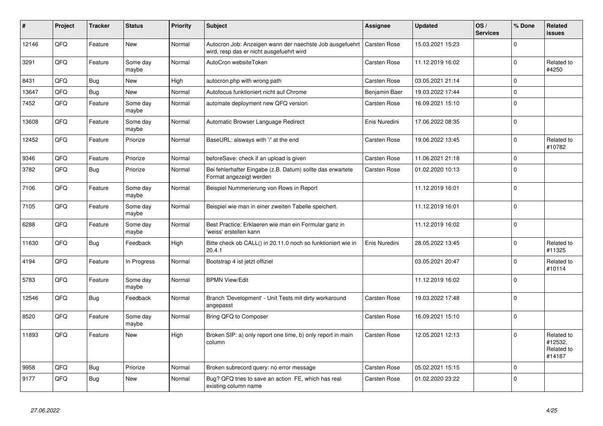| ∥ #   | Project | <b>Tracker</b> | <b>Status</b>     | <b>Priority</b> | <b>Subject</b>                                                                                                      | <b>Assignee</b>     | <b>Updated</b>   | OS/<br><b>Services</b> | % Done      | Related<br><b>issues</b>                      |
|-------|---------|----------------|-------------------|-----------------|---------------------------------------------------------------------------------------------------------------------|---------------------|------------------|------------------------|-------------|-----------------------------------------------|
| 12146 | QFQ     | Feature        | <b>New</b>        | Normal          | Autocron Job: Anzeigen wann der naechste Job ausgefuehrt   Carsten Rose<br>wird, resp das er nicht ausgefuehrt wird |                     | 15.03.2021 15:23 |                        | $\mathbf 0$ |                                               |
| 3291  | QFQ     | Feature        | Some day<br>maybe | Normal          | AutoCron websiteToken                                                                                               | Carsten Rose        | 11.12.2019 16:02 |                        | $\mathbf 0$ | Related to<br>#4250                           |
| 8431  | QFQ     | Bug            | <b>New</b>        | High            | autocron.php with wrong path                                                                                        | Carsten Rose        | 03.05.2021 21:14 |                        | $\mathbf 0$ |                                               |
| 13647 | QFQ     | Bug            | <b>New</b>        | Normal          | Autofocus funktioniert nicht auf Chrome                                                                             | Benjamin Baer       | 19.03.2022 17:44 |                        | $\Omega$    |                                               |
| 7452  | QFQ     | Feature        | Some day<br>maybe | Normal          | automate deployment new QFQ version                                                                                 | Carsten Rose        | 16.09.2021 15:10 |                        | $\mathbf 0$ |                                               |
| 13608 | QFQ     | Feature        | Some day<br>maybe | Normal          | Automatic Browser Language Redirect                                                                                 | Enis Nuredini       | 17.06.2022 08:35 |                        | $\mathbf 0$ |                                               |
| 12452 | QFQ     | Feature        | Priorize          | Normal          | BaseURL: alsways with '/' at the end                                                                                | Carsten Rose        | 19.06.2022 13:45 |                        | $\Omega$    | Related to<br>#10782                          |
| 9346  | QFQ     | Feature        | Priorize          | Normal          | beforeSave: check if an upload is given                                                                             | Carsten Rose        | 11.06.2021 21:18 |                        | $\mathbf 0$ |                                               |
| 3782  | QFQ     | Bug            | Priorize          | Normal          | Bei fehlerhafter Eingabe (z.B. Datum) sollte das erwartete<br>Format angezeigt werden                               | Carsten Rose        | 01.02.2020 10:13 |                        | $\mathsf 0$ |                                               |
| 7106  | QFQ     | Feature        | Some day<br>maybe | Normal          | Beispiel Nummerierung von Rows in Report                                                                            |                     | 11.12.2019 16:01 |                        | $\mathbf 0$ |                                               |
| 7105  | QFQ     | Feature        | Some day<br>maybe | Normal          | Beispiel wie man in einer zweiten Tabelle speichert.                                                                |                     | 11.12.2019 16:01 |                        | $\mathbf 0$ |                                               |
| 6288  | QFQ     | Feature        | Some day<br>maybe | Normal          | Best Practice: Erklaeren wie man ein Formular ganz in<br>'weiss' erstellen kann                                     |                     | 11.12.2019 16:02 |                        | $\Omega$    |                                               |
| 11630 | QFQ     | Bug            | Feedback          | High            | Bitte check ob CALL() in 20.11.0 noch so funktioniert wie in<br>20.4.1                                              | Enis Nuredini       | 28.05.2022 13:45 |                        | $\mathbf 0$ | Related to<br>#11325                          |
| 4194  | QFQ     | Feature        | In Progress       | Normal          | Bootstrap 4 ist jetzt offiziel                                                                                      |                     | 03.05.2021 20:47 |                        | $\pmb{0}$   | Related to<br>#10114                          |
| 5783  | QFQ     | Feature        | Some day<br>maybe | Normal          | <b>BPMN View/Edit</b>                                                                                               |                     | 11.12.2019 16:02 |                        | $\mathbf 0$ |                                               |
| 12546 | QFQ     | <b>Bug</b>     | Feedback          | Normal          | Branch 'Development' - Unit Tests mit dirty workaround<br>angepasst                                                 | Carsten Rose        | 19.03.2022 17:48 |                        | $\Omega$    |                                               |
| 8520  | QFQ     | Feature        | Some day<br>maybe | Normal          | Bring QFQ to Composer                                                                                               | Carsten Rose        | 16.09.2021 15:10 |                        | $\mathsf 0$ |                                               |
| 11893 | QFQ     | Feature        | <b>New</b>        | High            | Broken SIP: a) only report one time, b) only report in main<br>column                                               | Carsten Rose        | 12.05.2021 12:13 |                        | $\mathbf 0$ | Related to<br>#12532,<br>Related to<br>#14187 |
| 9958  | QFQ     | Bug            | Priorize          | Normal          | Broken subrecord query: no error message                                                                            | <b>Carsten Rose</b> | 05.02.2021 15:15 |                        | $\mathbf 0$ |                                               |
| 9177  | QFQ     | Bug            | <b>New</b>        | Normal          | Bug? QFQ tries to save an action FE, which has real<br>existing column name                                         | Carsten Rose        | 01.02.2020 23:22 |                        | $\mathbf 0$ |                                               |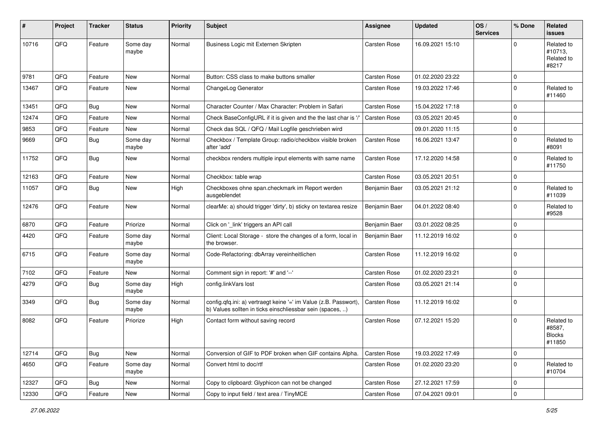| ∦     | Project | <b>Tracker</b> | <b>Status</b>     | <b>Priority</b> | <b>Subject</b>                                                                                                                | <b>Assignee</b>     | <b>Updated</b>   | OS/<br><b>Services</b> | % Done      | Related<br><b>issues</b>                        |
|-------|---------|----------------|-------------------|-----------------|-------------------------------------------------------------------------------------------------------------------------------|---------------------|------------------|------------------------|-------------|-------------------------------------------------|
| 10716 | QFQ     | Feature        | Some day<br>maybe | Normal          | Business Logic mit Externen Skripten                                                                                          | <b>Carsten Rose</b> | 16.09.2021 15:10 |                        | $\Omega$    | Related to<br>#10713.<br>Related to<br>#8217    |
| 9781  | QFQ     | Feature        | <b>New</b>        | Normal          | Button: CSS class to make buttons smaller                                                                                     | Carsten Rose        | 01.02.2020 23:22 |                        | $\mathbf 0$ |                                                 |
| 13467 | QFQ     | Feature        | New               | Normal          | ChangeLog Generator                                                                                                           | Carsten Rose        | 19.03.2022 17:46 |                        | $\Omega$    | Related to<br>#11460                            |
| 13451 | QFQ     | Bug            | <b>New</b>        | Normal          | Character Counter / Max Character: Problem in Safari                                                                          | <b>Carsten Rose</b> | 15.04.2022 17:18 |                        | $\Omega$    |                                                 |
| 12474 | QFQ     | Feature        | <b>New</b>        | Normal          | Check BaseConfigURL if it is given and the the last char is '/'                                                               | <b>Carsten Rose</b> | 03.05.2021 20:45 |                        | $\mathbf 0$ |                                                 |
| 9853  | QFQ     | Feature        | New               | Normal          | Check das SQL / QFQ / Mail Logfile geschrieben wird                                                                           |                     | 09.01.2020 11:15 |                        | $\mathbf 0$ |                                                 |
| 9669  | QFQ     | Bug            | Some day<br>maybe | Normal          | Checkbox / Template Group: radio/checkbox visible broken<br>after 'add'                                                       | Carsten Rose        | 16.06.2021 13:47 |                        | $\mathbf 0$ | Related to<br>#8091                             |
| 11752 | QFQ     | Bug            | New               | Normal          | checkbox renders multiple input elements with same name                                                                       | Carsten Rose        | 17.12.2020 14:58 |                        | 0           | Related to<br>#11750                            |
| 12163 | QFQ     | Feature        | <b>New</b>        | Normal          | Checkbox: table wrap                                                                                                          | Carsten Rose        | 03.05.2021 20:51 |                        | $\mathbf 0$ |                                                 |
| 11057 | QFQ     | Bug            | New               | High            | Checkboxes ohne span.checkmark im Report werden<br>ausgeblendet                                                               | Benjamin Baer       | 03.05.2021 21:12 |                        | $\Omega$    | Related to<br>#11039                            |
| 12476 | QFQ     | Feature        | <b>New</b>        | Normal          | clearMe: a) should trigger 'dirty', b) sticky on textarea resize                                                              | Benjamin Baer       | 04.01.2022 08:40 |                        | $\mathbf 0$ | Related to<br>#9528                             |
| 6870  | QFQ     | Feature        | Priorize          | Normal          | Click on '_link' triggers an API call                                                                                         | Benjamin Baer       | 03.01.2022 08:25 |                        | $\mathbf 0$ |                                                 |
| 4420  | QFQ     | Feature        | Some day<br>maybe | Normal          | Client: Local Storage - store the changes of a form, local in<br>the browser.                                                 | Benjamin Baer       | 11.12.2019 16:02 |                        | $\Omega$    |                                                 |
| 6715  | QFQ     | Feature        | Some day<br>maybe | Normal          | Code-Refactoring: dbArray vereinheitlichen                                                                                    | Carsten Rose        | 11.12.2019 16:02 |                        | $\Omega$    |                                                 |
| 7102  | QFQ     | Feature        | New               | Normal          | Comment sign in report: '#' and '--'                                                                                          | Carsten Rose        | 01.02.2020 23:21 |                        | $\mathbf 0$ |                                                 |
| 4279  | QFQ     | Bug            | Some day<br>maybe | High            | config.linkVars lost                                                                                                          | Carsten Rose        | 03.05.2021 21:14 |                        | 0           |                                                 |
| 3349  | QFQ     | Bug            | Some dav<br>maybe | Normal          | config.qfq.ini: a) vertraegt keine '=' im Value (z.B. Passwort),<br>b) Values sollten in ticks einschliessbar sein (spaces, ) | Carsten Rose        | 11.12.2019 16:02 |                        | $\mathbf 0$ |                                                 |
| 8082  | QFQ     | Feature        | Priorize          | High            | Contact form without saving record                                                                                            | Carsten Rose        | 07.12.2021 15:20 |                        | $\Omega$    | Related to<br>#8587,<br><b>Blocks</b><br>#11850 |
| 12714 | QFQ     | <b>Bug</b>     | New               | Normal          | Conversion of GIF to PDF broken when GIF contains Alpha.                                                                      | Carsten Rose        | 19.03.2022 17:49 |                        | $\mathbf 0$ |                                                 |
| 4650  | QFQ     | Feature        | Some day<br>maybe | Normal          | Convert html to doc/rtf                                                                                                       | Carsten Rose        | 01.02.2020 23:20 |                        | 0           | Related to<br>#10704                            |
| 12327 | QFO     | <b>Bug</b>     | New               | Normal          | Copy to clipboard: Glyphicon can not be changed                                                                               | Carsten Rose        | 27.12.2021 17:59 |                        | $\mathbf 0$ |                                                 |
| 12330 | QFG     | Feature        | New               | Normal          | Copy to input field / text area / TinyMCE                                                                                     | Carsten Rose        | 07.04.2021 09:01 |                        | $\mathbf 0$ |                                                 |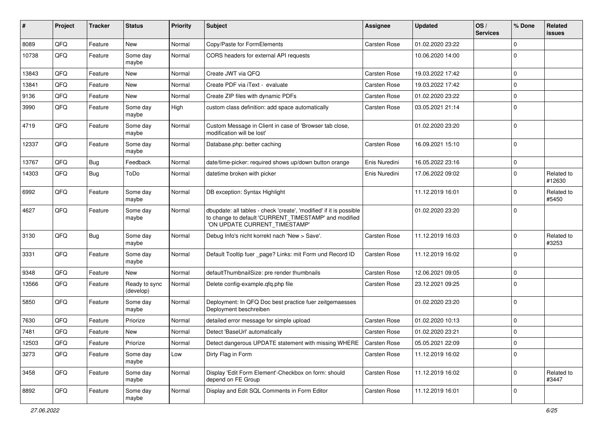| #     | Project | <b>Tracker</b> | <b>Status</b>              | <b>Priority</b> | <b>Subject</b>                                                                                                                                                | <b>Assignee</b>     | <b>Updated</b>   | OS/<br><b>Services</b> | % Done      | Related<br>issues    |
|-------|---------|----------------|----------------------------|-----------------|---------------------------------------------------------------------------------------------------------------------------------------------------------------|---------------------|------------------|------------------------|-------------|----------------------|
| 8089  | QFQ     | Feature        | New                        | Normal          | Copy/Paste for FormElements                                                                                                                                   | Carsten Rose        | 01.02.2020 23:22 |                        | $\Omega$    |                      |
| 10738 | QFQ     | Feature        | Some day<br>maybe          | Normal          | CORS headers for external API requests                                                                                                                        |                     | 10.06.2020 14:00 |                        | $\Omega$    |                      |
| 13843 | QFQ     | Feature        | <b>New</b>                 | Normal          | Create JWT via QFQ                                                                                                                                            | Carsten Rose        | 19.03.2022 17:42 |                        | $\mathbf 0$ |                      |
| 13841 | QFQ     | Feature        | New                        | Normal          | Create PDF via iText - evaluate                                                                                                                               | Carsten Rose        | 19.03.2022 17:42 |                        | 0           |                      |
| 9136  | QFQ     | Feature        | New                        | Normal          | Create ZIP files with dynamic PDFs                                                                                                                            | Carsten Rose        | 01.02.2020 23:22 |                        | $\mathbf 0$ |                      |
| 3990  | QFQ     | Feature        | Some day<br>maybe          | High            | custom class definition: add space automatically                                                                                                              | Carsten Rose        | 03.05.2021 21:14 |                        | $\mathbf 0$ |                      |
| 4719  | QFQ     | Feature        | Some day<br>maybe          | Normal          | Custom Message in Client in case of 'Browser tab close,<br>modification will be lost'                                                                         |                     | 01.02.2020 23:20 |                        | $\mathbf 0$ |                      |
| 12337 | QFQ     | Feature        | Some day<br>maybe          | Normal          | Database.php: better caching                                                                                                                                  | Carsten Rose        | 16.09.2021 15:10 |                        | $\Omega$    |                      |
| 13767 | QFQ     | <b>Bug</b>     | Feedback                   | Normal          | date/time-picker: required shows up/down button orange                                                                                                        | Enis Nuredini       | 16.05.2022 23:16 |                        | $\mathbf 0$ |                      |
| 14303 | QFQ     | Bug            | ToDo                       | Normal          | datetime broken with picker                                                                                                                                   | Enis Nuredini       | 17.06.2022 09:02 |                        | $\Omega$    | Related to<br>#12630 |
| 6992  | QFQ     | Feature        | Some day<br>maybe          | Normal          | DB exception: Syntax Highlight                                                                                                                                |                     | 11.12.2019 16:01 |                        | $\Omega$    | Related to<br>#5450  |
| 4627  | QFQ     | Feature        | Some day<br>maybe          | Normal          | dbupdate: all tables - check 'create', 'modified' if it is possible<br>to change to default 'CURRENT_TIMESTAMP' and modified<br>'ON UPDATE CURRENT_TIMESTAMP' |                     | 01.02.2020 23:20 |                        | l O         |                      |
| 3130  | QFQ     | <b>Bug</b>     | Some day<br>maybe          | Normal          | Debug Info's nicht korrekt nach 'New > Save'.                                                                                                                 | Carsten Rose        | 11.12.2019 16:03 |                        | $\mathbf 0$ | Related to<br>#3253  |
| 3331  | QFQ     | Feature        | Some day<br>maybe          | Normal          | Default Tooltip fuer _page? Links: mit Form und Record ID                                                                                                     | Carsten Rose        | 11.12.2019 16:02 |                        | $\Omega$    |                      |
| 9348  | QFQ     | Feature        | New                        | Normal          | defaultThumbnailSize: pre render thumbnails                                                                                                                   | Carsten Rose        | 12.06.2021 09:05 |                        | $\mathbf 0$ |                      |
| 13566 | QFQ     | Feature        | Ready to sync<br>(develop) | Normal          | Delete config-example.qfq.php file                                                                                                                            | Carsten Rose        | 23.12.2021 09:25 |                        | $\mathbf 0$ |                      |
| 5850  | QFQ     | Feature        | Some day<br>maybe          | Normal          | Deployment: In QFQ Doc best practice fuer zeitgemaesses<br>Deployment beschreiben                                                                             |                     | 01.02.2020 23:20 |                        | l 0         |                      |
| 7630  | QFQ     | Feature        | Priorize                   | Normal          | detailed error message for simple upload                                                                                                                      | Carsten Rose        | 01.02.2020 10:13 |                        | $\Omega$    |                      |
| 7481  | QFQ     | Feature        | New                        | Normal          | Detect 'BaseUrl' automatically                                                                                                                                | Carsten Rose        | 01.02.2020 23:21 |                        | $\Omega$    |                      |
| 12503 | QFQ     | Feature        | Priorize                   | Normal          | Detect dangerous UPDATE statement with missing WHERE                                                                                                          | <b>Carsten Rose</b> | 05.05.2021 22:09 |                        | 0           |                      |
| 3273  | QFQ     | Feature        | Some day<br>maybe          | Low             | Dirty Flag in Form                                                                                                                                            | Carsten Rose        | 11.12.2019 16:02 |                        | $\mathbf 0$ |                      |
| 3458  | QFQ     | Feature        | Some day<br>maybe          | Normal          | Display 'Edit Form Element'-Checkbox on form: should<br>depend on FE Group                                                                                    | Carsten Rose        | 11.12.2019 16:02 |                        | $\Omega$    | Related to<br>#3447  |
| 8892  | QFQ     | Feature        | Some day<br>maybe          | Normal          | Display and Edit SQL Comments in Form Editor                                                                                                                  | Carsten Rose        | 11.12.2019 16:01 |                        | l 0         |                      |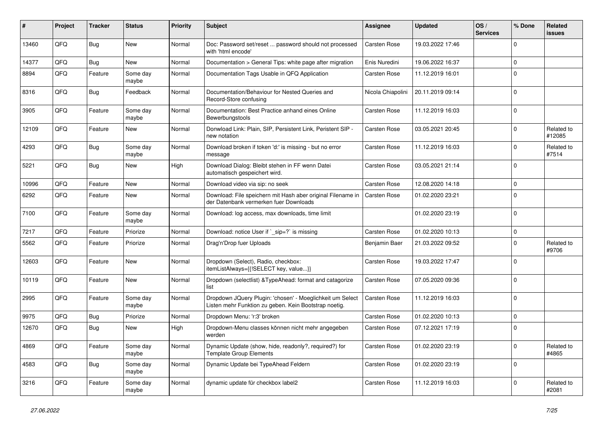| ∦     | Project | <b>Tracker</b> | <b>Status</b>     | <b>Priority</b> | <b>Subject</b>                                                                                                     | Assignee          | <b>Updated</b>   | OS/<br><b>Services</b> | % Done      | Related<br><b>issues</b> |
|-------|---------|----------------|-------------------|-----------------|--------------------------------------------------------------------------------------------------------------------|-------------------|------------------|------------------------|-------------|--------------------------|
| 13460 | QFQ     | Bug            | <b>New</b>        | Normal          | Doc: Password set/reset  password should not processed<br>with 'html encode'                                       | Carsten Rose      | 19.03.2022 17:46 |                        | $\Omega$    |                          |
| 14377 | QFQ     | Bug            | <b>New</b>        | Normal          | Documentation > General Tips: white page after migration                                                           | Enis Nuredini     | 19.06.2022 16:37 |                        | $\mathbf 0$ |                          |
| 8894  | QFQ     | Feature        | Some day<br>maybe | Normal          | Documentation Tags Usable in QFQ Application                                                                       | Carsten Rose      | 11.12.2019 16:01 |                        | $\Omega$    |                          |
| 8316  | QFQ     | <b>Bug</b>     | Feedback          | Normal          | Documentation/Behaviour for Nested Queries and<br>Record-Store confusing                                           | Nicola Chiapolini | 20.11.2019 09:14 |                        | $\Omega$    |                          |
| 3905  | QFQ     | Feature        | Some day<br>maybe | Normal          | Documentation: Best Practice anhand eines Online<br>Bewerbungstools                                                | Carsten Rose      | 11.12.2019 16:03 |                        | $\Omega$    |                          |
| 12109 | QFQ     | Feature        | <b>New</b>        | Normal          | Donwload Link: Plain, SIP, Persistent Link, Peristent SIP -<br>new notation                                        | Carsten Rose      | 03.05.2021 20:45 |                        | $\Omega$    | Related to<br>#12085     |
| 4293  | QFQ     | Bug            | Some day<br>maybe | Normal          | Download broken if token 'd:' is missing - but no error<br>message                                                 | Carsten Rose      | 11.12.2019 16:03 |                        | $\Omega$    | Related to<br>#7514      |
| 5221  | QFQ     | Bug            | New               | High            | Download Dialog: Bleibt stehen in FF wenn Datei<br>automatisch gespeichert wird.                                   | Carsten Rose      | 03.05.2021 21:14 |                        | $\Omega$    |                          |
| 10996 | QFQ     | Feature        | <b>New</b>        | Normal          | Download video via sip: no seek                                                                                    | Carsten Rose      | 12.08.2020 14:18 |                        | $\Omega$    |                          |
| 6292  | QFQ     | Feature        | <b>New</b>        | Normal          | Download: File speichern mit Hash aber original Filename in<br>der Datenbank vermerken fuer Downloads              | Carsten Rose      | 01.02.2020 23:21 |                        | $\Omega$    |                          |
| 7100  | QFQ     | Feature        | Some day<br>maybe | Normal          | Download: log access, max downloads, time limit                                                                    |                   | 01.02.2020 23:19 |                        | $\Omega$    |                          |
| 7217  | QFQ     | Feature        | Priorize          | Normal          | Download: notice User if `_sip=?` is missing                                                                       | Carsten Rose      | 01.02.2020 10:13 |                        | $\Omega$    |                          |
| 5562  | QFQ     | Feature        | Priorize          | Normal          | Drag'n'Drop fuer Uploads                                                                                           | Benjamin Baer     | 21.03.2022 09:52 |                        | $\Omega$    | Related to<br>#9706      |
| 12603 | QFQ     | Feature        | <b>New</b>        | Normal          | Dropdown (Select), Radio, checkbox:<br>itemListAlways={{!SELECT key, value}}                                       | Carsten Rose      | 19.03.2022 17:47 |                        | $\Omega$    |                          |
| 10119 | QFQ     | Feature        | <b>New</b>        | Normal          | Dropdown (selectlist) & Type Ahead: format and catagorize<br>list                                                  | Carsten Rose      | 07.05.2020 09:36 |                        | $\Omega$    |                          |
| 2995  | QFQ     | Feature        | Some day<br>maybe | Normal          | Dropdown JQuery Plugin: 'chosen' - Moeglichkeit um Select<br>Listen mehr Funktion zu geben. Kein Bootstrap noetig. | Carsten Rose      | 11.12.2019 16:03 |                        | $\Omega$    |                          |
| 9975  | QFQ     | Bug            | Priorize          | Normal          | Dropdown Menu: 'r:3' broken                                                                                        | Carsten Rose      | 01.02.2020 10:13 |                        | $\Omega$    |                          |
| 12670 | QFQ     | Bug            | <b>New</b>        | High            | Dropdown-Menu classes können nicht mehr angegeben<br>werden                                                        | Carsten Rose      | 07.12.2021 17:19 |                        | $\Omega$    |                          |
| 4869  | QFQ     | Feature        | Some day<br>maybe | Normal          | Dynamic Update (show, hide, readonly?, required?) for<br><b>Template Group Elements</b>                            | Carsten Rose      | 01.02.2020 23:19 |                        | $\Omega$    | Related to<br>#4865      |
| 4583  | QFQ     | Bug            | Some day<br>maybe | Normal          | Dynamic Update bei TypeAhead Feldern                                                                               | Carsten Rose      | 01.02.2020 23:19 |                        | $\Omega$    |                          |
| 3216  | QFQ     | Feature        | Some day<br>maybe | Normal          | dynamic update für checkbox label2                                                                                 | Carsten Rose      | 11.12.2019 16:03 |                        | $\Omega$    | Related to<br>#2081      |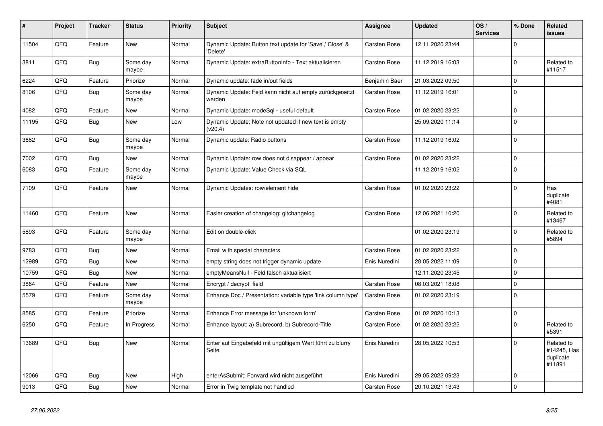| #     | Project | <b>Tracker</b> | <b>Status</b>     | <b>Priority</b> | <b>Subject</b>                                                       | Assignee      | <b>Updated</b>   | OS/<br><b>Services</b> | % Done      | Related<br><b>issues</b>                         |
|-------|---------|----------------|-------------------|-----------------|----------------------------------------------------------------------|---------------|------------------|------------------------|-------------|--------------------------------------------------|
| 11504 | QFQ     | Feature        | <b>New</b>        | Normal          | Dynamic Update: Button text update for 'Save',' Close' &<br>'Delete' | Carsten Rose  | 12.11.2020 23:44 |                        | $\Omega$    |                                                  |
| 3811  | QFQ     | <b>Bug</b>     | Some day<br>maybe | Normal          | Dynamic Update: extraButtonInfo - Text aktualisieren                 | Carsten Rose  | 11.12.2019 16:03 |                        | $\Omega$    | Related to<br>#11517                             |
| 6224  | QFQ     | Feature        | Priorize          | Normal          | Dynamic update: fade in/out fields                                   | Benjamin Baer | 21.03.2022 09:50 |                        | $\mathbf 0$ |                                                  |
| 8106  | QFQ     | <b>Bug</b>     | Some day<br>maybe | Normal          | Dynamic Update: Feld kann nicht auf empty zurückgesetzt<br>werden    | Carsten Rose  | 11.12.2019 16:01 |                        | $\mathbf 0$ |                                                  |
| 4082  | QFQ     | Feature        | <b>New</b>        | Normal          | Dynamic Update: modeSgl - useful default                             | Carsten Rose  | 01.02.2020 23:22 |                        | $\mathbf 0$ |                                                  |
| 11195 | QFQ     | Bug            | <b>New</b>        | Low             | Dynamic Update: Note not updated if new text is empty<br>(v20.4)     |               | 25.09.2020 11:14 |                        | $\Omega$    |                                                  |
| 3682  | QFQ     | <b>Bug</b>     | Some day<br>maybe | Normal          | Dynamic update: Radio buttons                                        | Carsten Rose  | 11.12.2019 16:02 |                        | $\Omega$    |                                                  |
| 7002  | QFQ     | <b>Bug</b>     | <b>New</b>        | Normal          | Dynamic Update: row does not disappear / appear                      | Carsten Rose  | 01.02.2020 23:22 |                        | $\Omega$    |                                                  |
| 6083  | QFQ     | Feature        | Some day<br>maybe | Normal          | Dynamic Update: Value Check via SQL                                  |               | 11.12.2019 16:02 |                        | $\Omega$    |                                                  |
| 7109  | QFQ     | Feature        | <b>New</b>        | Normal          | Dynamic Updates: row/element hide                                    | Carsten Rose  | 01.02.2020 23:22 |                        | $\Omega$    | Has<br>duplicate<br>#4081                        |
| 11460 | QFQ     | Feature        | New               | Normal          | Easier creation of changelog: gitchangelog                           | Carsten Rose  | 12.06.2021 10:20 |                        | $\Omega$    | Related to<br>#13467                             |
| 5893  | QFQ     | Feature        | Some day<br>maybe | Normal          | Edit on double-click                                                 |               | 01.02.2020 23:19 |                        | $\Omega$    | Related to<br>#5894                              |
| 9783  | QFQ     | Bug            | <b>New</b>        | Normal          | Email with special characters                                        | Carsten Rose  | 01.02.2020 23:22 |                        | $\Omega$    |                                                  |
| 12989 | QFQ     | Bug            | <b>New</b>        | Normal          | empty string does not trigger dynamic update                         | Enis Nuredini | 28.05.2022 11:09 |                        | $\Omega$    |                                                  |
| 10759 | QFQ     | <b>Bug</b>     | <b>New</b>        | Normal          | emptyMeansNull - Feld falsch aktualisiert                            |               | 12.11.2020 23:45 |                        | $\mathbf 0$ |                                                  |
| 3864  | QFQ     | Feature        | <b>New</b>        | Normal          | Encrypt / decrypt field                                              | Carsten Rose  | 08.03.2021 18:08 |                        | $\Omega$    |                                                  |
| 5579  | QFQ     | Feature        | Some day<br>maybe | Normal          | Enhance Doc / Presentation: variable type 'link column type'         | Carsten Rose  | 01.02.2020 23:19 |                        | $\Omega$    |                                                  |
| 8585  | QFQ     | Feature        | Priorize          | Normal          | Enhance Error message for 'unknown form'                             | Carsten Rose  | 01.02.2020 10:13 |                        | $\mathbf 0$ |                                                  |
| 6250  | QFQ     | Feature        | In Progress       | Normal          | Enhance layout: a) Subrecord, b) Subrecord-Title                     | Carsten Rose  | 01.02.2020 23:22 |                        | $\Omega$    | Related to<br>#5391                              |
| 13689 | QFQ     | <b>Bug</b>     | New               | Normal          | Enter auf Eingabefeld mit ungültigem Wert führt zu blurry<br>Seite   | Enis Nuredini | 28.05.2022 10:53 |                        | $\Omega$    | Related to<br>#14245, Has<br>duplicate<br>#11891 |
| 12066 | QFQ     | <b>Bug</b>     | <b>New</b>        | High            | enterAsSubmit: Forward wird nicht ausgeführt                         | Enis Nuredini | 29.05.2022 09:23 |                        | $\Omega$    |                                                  |
| 9013  | QFQ     | Bug            | New               | Normal          | Error in Twig template not handled                                   | Carsten Rose  | 20.10.2021 13:43 |                        | $\Omega$    |                                                  |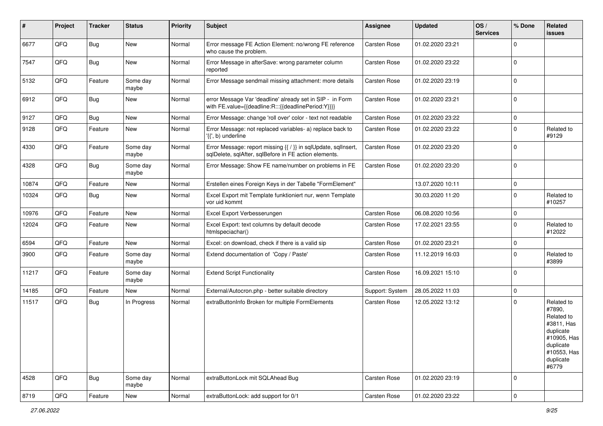| #     | Project | <b>Tracker</b> | <b>Status</b>     | <b>Priority</b> | Subject                                                                                                                 | Assignee        | <b>Updated</b>   | OS/<br><b>Services</b> | % Done      | Related<br>issues                                                                                                              |
|-------|---------|----------------|-------------------|-----------------|-------------------------------------------------------------------------------------------------------------------------|-----------------|------------------|------------------------|-------------|--------------------------------------------------------------------------------------------------------------------------------|
| 6677  | QFQ     | Bug            | New               | Normal          | Error message FE Action Element: no/wrong FE reference<br>who cause the problem.                                        | Carsten Rose    | 01.02.2020 23:21 |                        | 0           |                                                                                                                                |
| 7547  | QFQ     | Bug            | <b>New</b>        | Normal          | Error Message in afterSave: wrong parameter column<br>reported                                                          | Carsten Rose    | 01.02.2020 23:22 |                        | $\Omega$    |                                                                                                                                |
| 5132  | QFQ     | Feature        | Some day<br>maybe | Normal          | Error Message sendmail missing attachment: more details                                                                 | Carsten Rose    | 01.02.2020 23:19 |                        | $\Omega$    |                                                                                                                                |
| 6912  | QFQ     | <b>Bug</b>     | New               | Normal          | error Message Var 'deadline' already set in SIP - in Form<br>with FE.value={{deadline:R:::{{deadlinePeriod:Y}}}}        | Carsten Rose    | 01.02.2020 23:21 |                        | $\mathbf 0$ |                                                                                                                                |
| 9127  | QFQ     | Bug            | <b>New</b>        | Normal          | Error Message: change 'roll over' color - text not readable                                                             | Carsten Rose    | 01.02.2020 23:22 |                        | $\mathbf 0$ |                                                                                                                                |
| 9128  | QFQ     | Feature        | New               | Normal          | Error Message: not replaced variables- a) replace back to<br>'{{', b) underline                                         | Carsten Rose    | 01.02.2020 23:22 |                        | $\Omega$    | Related to<br>#9129                                                                                                            |
| 4330  | QFQ     | Feature        | Some day<br>maybe | Normal          | Error Message: report missing {{ / }} in sqlUpdate, sqlInsert,<br>sqlDelete, sqlAfter, sqlBefore in FE action elements. | Carsten Rose    | 01.02.2020 23:20 |                        | $\Omega$    |                                                                                                                                |
| 4328  | QFQ     | <b>Bug</b>     | Some day<br>maybe | Normal          | Error Message: Show FE name/number on problems in FE                                                                    | Carsten Rose    | 01.02.2020 23:20 |                        | $\Omega$    |                                                                                                                                |
| 10874 | QFQ     | Feature        | New               | Normal          | Erstellen eines Foreign Keys in der Tabelle "FormElement"                                                               |                 | 13.07.2020 10:11 |                        | $\mathbf 0$ |                                                                                                                                |
| 10324 | QFQ     | Bug            | New               | Normal          | Excel Export mit Template funktioniert nur, wenn Template<br>vor uid kommt                                              |                 | 30.03.2020 11:20 |                        | $\Omega$    | Related to<br>#10257                                                                                                           |
| 10976 | QFQ     | Feature        | New               | Normal          | Excel Export Verbesserungen                                                                                             | Carsten Rose    | 06.08.2020 10:56 |                        | 0           |                                                                                                                                |
| 12024 | QFQ     | Feature        | New               | Normal          | Excel Export: text columns by default decode<br>htmlspeciachar()                                                        | Carsten Rose    | 17.02.2021 23:55 |                        | $\Omega$    | Related to<br>#12022                                                                                                           |
| 6594  | QFQ     | Feature        | New               | Normal          | Excel: on download, check if there is a valid sip                                                                       | Carsten Rose    | 01.02.2020 23:21 |                        | $\mathbf 0$ |                                                                                                                                |
| 3900  | QFQ     | Feature        | Some day<br>maybe | Normal          | Extend documentation of 'Copy / Paste'                                                                                  | Carsten Rose    | 11.12.2019 16:03 |                        | $\Omega$    | Related to<br>#3899                                                                                                            |
| 11217 | QFQ     | Feature        | Some day<br>maybe | Normal          | <b>Extend Script Functionality</b>                                                                                      | Carsten Rose    | 16.09.2021 15:10 |                        | $\Omega$    |                                                                                                                                |
| 14185 | QFQ     | Feature        | New               | Normal          | External/Autocron.php - better suitable directory                                                                       | Support: System | 28.05.2022 11:03 |                        | $\Omega$    |                                                                                                                                |
| 11517 | QFQ     | Bug            | In Progress       | Normal          | extraButtonInfo Broken for multiple FormElements                                                                        | Carsten Rose    | 12.05.2022 13:12 |                        | $\Omega$    | Related to<br>#7890,<br>Related to<br>#3811, Has<br>duplicate<br>#10905, Has<br>duplicate<br>#10553, Has<br>duplicate<br>#6779 |
| 4528  | QFQ     | Bug            | Some day<br>maybe | Normal          | extraButtonLock mit SQLAhead Bug                                                                                        | Carsten Rose    | 01.02.2020 23:19 |                        | $\mathbf 0$ |                                                                                                                                |
| 8719  | QFQ     | Feature        | New               | Normal          | extraButtonLock: add support for 0/1                                                                                    | Carsten Rose    | 01.02.2020 23:22 |                        | 0           |                                                                                                                                |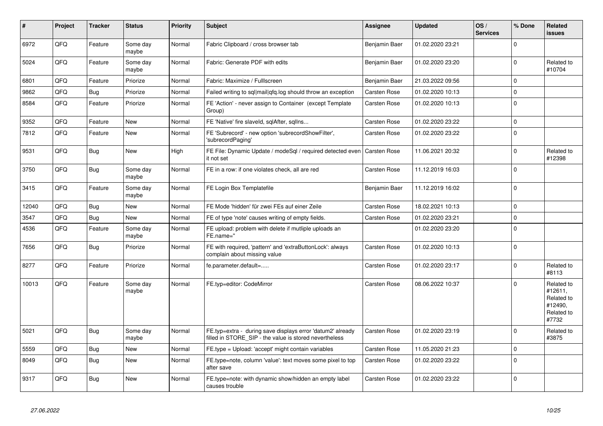| #     | Project | <b>Tracker</b> | <b>Status</b>     | <b>Priority</b> | <b>Subject</b>                                                                                                       | Assignee            | <b>Updated</b>   | OS/<br><b>Services</b> | % Done       | Related<br><b>issues</b>                                              |
|-------|---------|----------------|-------------------|-----------------|----------------------------------------------------------------------------------------------------------------------|---------------------|------------------|------------------------|--------------|-----------------------------------------------------------------------|
| 6972  | QFQ     | Feature        | Some day<br>maybe | Normal          | Fabric Clipboard / cross browser tab                                                                                 | Benjamin Baer       | 01.02.2020 23:21 |                        | $\Omega$     |                                                                       |
| 5024  | QFQ     | Feature        | Some day<br>maybe | Normal          | Fabric: Generate PDF with edits                                                                                      | Benjamin Baer       | 01.02.2020 23:20 |                        | $\Omega$     | Related to<br>#10704                                                  |
| 6801  | QFQ     | Feature        | Priorize          | Normal          | Fabric: Maximize / FullIscreen                                                                                       | Benjamin Baer       | 21.03.2022 09:56 |                        | $\Omega$     |                                                                       |
| 9862  | QFQ     | Bug            | Priorize          | Normal          | Failed writing to sql mail qfq.log should throw an exception                                                         | Carsten Rose        | 01.02.2020 10:13 |                        | $\Omega$     |                                                                       |
| 8584  | QFQ     | Feature        | Priorize          | Normal          | FE 'Action' - never assign to Container (except Template<br>Group)                                                   | Carsten Rose        | 01.02.2020 10:13 |                        | $\Omega$     |                                                                       |
| 9352  | QFQ     | Feature        | <b>New</b>        | Normal          | FE 'Native' fire slaveld, sqlAfter, sqllns                                                                           | Carsten Rose        | 01.02.2020 23:22 |                        | $\Omega$     |                                                                       |
| 7812  | QFQ     | Feature        | <b>New</b>        | Normal          | FE 'Subrecord' - new option 'subrecordShowFilter',<br>'subrecordPaging'                                              | Carsten Rose        | 01.02.2020 23:22 |                        | $\Omega$     |                                                                       |
| 9531  | QFQ     | <b>Bug</b>     | New               | High            | FE File: Dynamic Update / modeSgl / required detected even<br>it not set                                             | <b>Carsten Rose</b> | 11.06.2021 20:32 |                        | $\Omega$     | Related to<br>#12398                                                  |
| 3750  | QFQ     | <b>Bug</b>     | Some day<br>maybe | Normal          | FE in a row: if one violates check, all are red                                                                      | Carsten Rose        | 11.12.2019 16:03 |                        | $\Omega$     |                                                                       |
| 3415  | QFQ     | Feature        | Some day<br>maybe | Normal          | FE Login Box Templatefile                                                                                            | Benjamin Baer       | 11.12.2019 16:02 |                        | $\Omega$     |                                                                       |
| 12040 | QFQ     | <b>Bug</b>     | <b>New</b>        | Normal          | FE Mode 'hidden' für zwei FEs auf einer Zeile                                                                        | Carsten Rose        | 18.02.2021 10:13 |                        | $\mathbf{0}$ |                                                                       |
| 3547  | QFQ     | Bug            | <b>New</b>        | Normal          | FE of type 'note' causes writing of empty fields.                                                                    | Carsten Rose        | 01.02.2020 23:21 |                        | $\Omega$     |                                                                       |
| 4536  | QFQ     | Feature        | Some day<br>maybe | Normal          | FE upload: problem with delete if mutliple uploads an<br>FE.name="                                                   |                     | 01.02.2020 23:20 |                        | $\Omega$     |                                                                       |
| 7656  | QFQ     | Bug            | Priorize          | Normal          | FE with required, 'pattern' and 'extraButtonLock': always<br>complain about missing value                            | Carsten Rose        | 01.02.2020 10:13 |                        | $\mathbf 0$  |                                                                       |
| 8277  | QFQ     | Feature        | Priorize          | Normal          | fe.parameter.default=                                                                                                | Carsten Rose        | 01.02.2020 23:17 |                        | $\Omega$     | Related to<br>#8113                                                   |
| 10013 | QFQ     | Feature        | Some day<br>maybe | Normal          | FE.typ=editor: CodeMirror                                                                                            | Carsten Rose        | 08.06.2022 10:37 |                        | $\Omega$     | Related to<br>#12611.<br>Related to<br>#12490,<br>Related to<br>#7732 |
| 5021  | QFQ     | Bug            | Some day<br>maybe | Normal          | FE.typ=extra - during save displays error 'datum2' already<br>filled in STORE SIP - the value is stored nevertheless | Carsten Rose        | 01.02.2020 23:19 |                        | $\Omega$     | Related to<br>#3875                                                   |
| 5559  | QFQ     | <b>Bug</b>     | New               | Normal          | FE.type = Upload: 'accept' might contain variables                                                                   | Carsten Rose        | 11.05.2020 21:23 |                        | $\Omega$     |                                                                       |
| 8049  | QFQ     | <b>Bug</b>     | <b>New</b>        | Normal          | FE.type=note, column 'value': text moves some pixel to top<br>after save                                             | Carsten Rose        | 01.02.2020 23:22 |                        | $\Omega$     |                                                                       |
| 9317  | QFQ     | Bug            | <b>New</b>        | Normal          | FE.type=note: with dynamic show/hidden an empty label<br>causes trouble                                              | Carsten Rose        | 01.02.2020 23:22 |                        | $\Omega$     |                                                                       |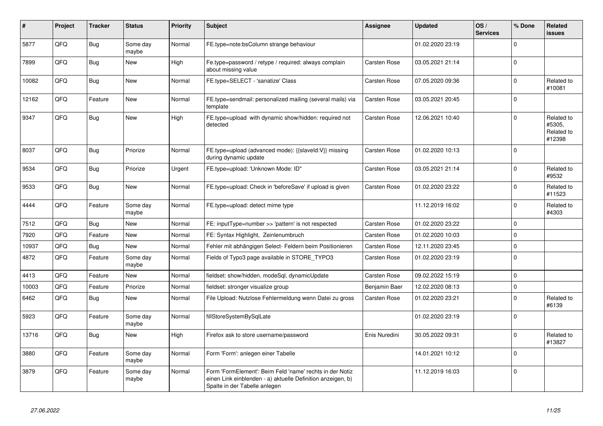| #     | Project | <b>Tracker</b> | <b>Status</b>     | <b>Priority</b> | <b>Subject</b>                                                                                                                                           | <b>Assignee</b>     | <b>Updated</b>   | OS/<br><b>Services</b> | % Done       | <b>Related</b><br><b>issues</b>              |
|-------|---------|----------------|-------------------|-----------------|----------------------------------------------------------------------------------------------------------------------------------------------------------|---------------------|------------------|------------------------|--------------|----------------------------------------------|
| 5877  | QFQ     | Bug            | Some day<br>maybe | Normal          | FE.type=note:bsColumn strange behaviour                                                                                                                  |                     | 01.02.2020 23:19 |                        | $\mathbf 0$  |                                              |
| 7899  | QFQ     | Bug            | <b>New</b>        | High            | Fe.type=password / retype / required: always complain<br>about missing value                                                                             | Carsten Rose        | 03.05.2021 21:14 |                        | $\mathbf 0$  |                                              |
| 10082 | QFQ     | Bug            | New               | Normal          | FE.type=SELECT - 'sanatize' Class                                                                                                                        | Carsten Rose        | 07.05.2020 09:36 |                        | $\mathbf 0$  | Related to<br>#10081                         |
| 12162 | QFQ     | Feature        | New               | Normal          | FE.type=sendmail: personalized mailing (several mails) via<br>template                                                                                   | Carsten Rose        | 03.05.2021 20:45 |                        | $\mathsf 0$  |                                              |
| 9347  | QFQ     | Bug            | <b>New</b>        | High            | FE.type=upload with dynamic show/hidden: required not<br>detected                                                                                        | <b>Carsten Rose</b> | 12.06.2021 10:40 |                        | $\mathbf 0$  | Related to<br>#5305,<br>Related to<br>#12398 |
| 8037  | QFQ     | Bug            | Priorize          | Normal          | FE.type=upload (advanced mode): {{slaveld:V}} missing<br>during dynamic update                                                                           | Carsten Rose        | 01.02.2020 10:13 |                        | $\mathbf 0$  |                                              |
| 9534  | QFQ     | Bug            | Priorize          | Urgent          | FE.type=upload: 'Unknown Mode: ID"                                                                                                                       | Carsten Rose        | 03.05.2021 21:14 |                        | $\mathbf 0$  | Related to<br>#9532                          |
| 9533  | QFQ     | Bug            | <b>New</b>        | Normal          | FE.type=upload: Check in 'beforeSave' if upload is given                                                                                                 | Carsten Rose        | 01.02.2020 23:22 |                        | $\mathbf 0$  | Related to<br>#11523                         |
| 4444  | QFQ     | Feature        | Some day<br>maybe | Normal          | FE.type=upload: detect mime type                                                                                                                         |                     | 11.12.2019 16:02 |                        | $\mathsf 0$  | Related to<br>#4303                          |
| 7512  | QFQ     | Bug            | <b>New</b>        | Normal          | FE: inputType=number >> 'pattern' is not respected                                                                                                       | Carsten Rose        | 01.02.2020 23:22 |                        | $\mathsf 0$  |                                              |
| 7920  | QFQ     | Feature        | <b>New</b>        | Normal          | FE: Syntax Highlight, Zeinlenumbruch                                                                                                                     | Carsten Rose        | 01.02.2020 10:03 |                        | $\mathbf{0}$ |                                              |
| 10937 | QFQ     | Bug            | <b>New</b>        | Normal          | Fehler mit abhängigen Select- Feldern beim Positionieren                                                                                                 | Carsten Rose        | 12.11.2020 23:45 |                        | $\mathbf 0$  |                                              |
| 4872  | QFQ     | Feature        | Some day<br>maybe | Normal          | Fields of Typo3 page available in STORE_TYPO3                                                                                                            | Carsten Rose        | 01.02.2020 23:19 |                        | $\mathbf 0$  |                                              |
| 4413  | QFQ     | Feature        | <b>New</b>        | Normal          | fieldset: show/hidden, modeSql, dynamicUpdate                                                                                                            | Carsten Rose        | 09.02.2022 15:19 |                        | $\mathbf{0}$ |                                              |
| 10003 | QFQ     | Feature        | Priorize          | Normal          | fieldset: stronger visualize group                                                                                                                       | Benjamin Baer       | 12.02.2020 08:13 |                        | $\mathsf 0$  |                                              |
| 6462  | QFQ     | <b>Bug</b>     | <b>New</b>        | Normal          | File Upload: Nutzlose Fehlermeldung wenn Datei zu gross                                                                                                  | Carsten Rose        | 01.02.2020 23:21 |                        | $\Omega$     | Related to<br>#6139                          |
| 5923  | QFQ     | Feature        | Some day<br>maybe | Normal          | fillStoreSystemBySqlLate                                                                                                                                 |                     | 01.02.2020 23:19 |                        | $\mathbf 0$  |                                              |
| 13716 | QFQ     | <b>Bug</b>     | <b>New</b>        | High            | Firefox ask to store username/password                                                                                                                   | Enis Nuredini       | 30.05.2022 09:31 |                        | $\mathbf 0$  | Related to<br>#13827                         |
| 3880  | QFQ     | Feature        | Some day<br>maybe | Normal          | Form 'Form': anlegen einer Tabelle                                                                                                                       |                     | 14.01.2021 10:12 |                        | $\Omega$     |                                              |
| 3879  | QFQ     | Feature        | Some day<br>maybe | Normal          | Form 'FormElement': Beim Feld 'name' rechts in der Notiz<br>einen Link einblenden - a) aktuelle Definition anzeigen, b)<br>Spalte in der Tabelle anlegen |                     | 11.12.2019 16:03 |                        | $\mathsf 0$  |                                              |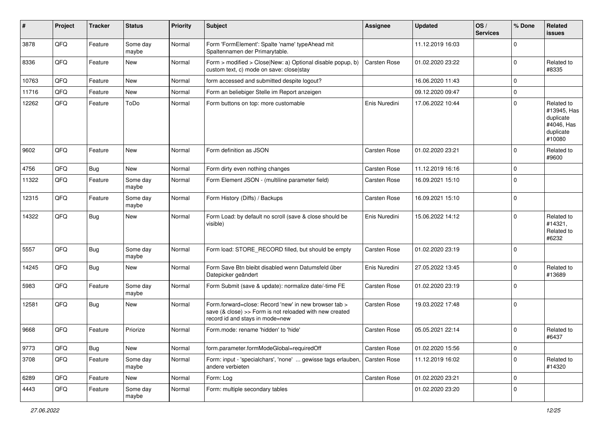| #     | Project | <b>Tracker</b> | <b>Status</b>     | <b>Priority</b> | Subject                                                                                                                                             | <b>Assignee</b>     | <b>Updated</b>   | OS/<br><b>Services</b> | % Done      | Related<br><b>issues</b>                                                    |
|-------|---------|----------------|-------------------|-----------------|-----------------------------------------------------------------------------------------------------------------------------------------------------|---------------------|------------------|------------------------|-------------|-----------------------------------------------------------------------------|
| 3878  | QFQ     | Feature        | Some day<br>maybe | Normal          | Form 'FormElement': Spalte 'name' typeAhead mit<br>Spaltennamen der Primarytable.                                                                   |                     | 11.12.2019 16:03 |                        | $\mathbf 0$ |                                                                             |
| 8336  | QFQ     | Feature        | New               | Normal          | Form > modified > Close New: a) Optional disable popup, b)<br>custom text, c) mode on save: closelstay                                              | <b>Carsten Rose</b> | 01.02.2020 23:22 |                        | 0           | Related to<br>#8335                                                         |
| 10763 | QFQ     | Feature        | New               | Normal          | form accessed and submitted despite logout?                                                                                                         |                     | 16.06.2020 11:43 |                        | $\mathbf 0$ |                                                                             |
| 11716 | QFQ     | Feature        | <b>New</b>        | Normal          | Form an beliebiger Stelle im Report anzeigen                                                                                                        |                     | 09.12.2020 09:47 |                        | $\mathbf 0$ |                                                                             |
| 12262 | QFQ     | Feature        | ToDo              | Normal          | Form buttons on top: more customable                                                                                                                | Enis Nuredini       | 17.06.2022 10:44 |                        | $\Omega$    | Related to<br>#13945, Has<br>duplicate<br>#4046, Has<br>duplicate<br>#10080 |
| 9602  | QFQ     | Feature        | New               | Normal          | Form definition as JSON                                                                                                                             | Carsten Rose        | 01.02.2020 23:21 |                        | 0           | Related to<br>#9600                                                         |
| 4756  | QFQ     | Bug            | New               | Normal          | Form dirty even nothing changes                                                                                                                     | Carsten Rose        | 11.12.2019 16:16 |                        | $\mathbf 0$ |                                                                             |
| 11322 | QFQ     | Feature        | Some day<br>maybe | Normal          | Form Element JSON - (multiline parameter field)                                                                                                     | Carsten Rose        | 16.09.2021 15:10 |                        | $\mathbf 0$ |                                                                             |
| 12315 | QFQ     | Feature        | Some day<br>maybe | Normal          | Form History (Diffs) / Backups                                                                                                                      | Carsten Rose        | 16.09.2021 15:10 |                        | $\mathbf 0$ |                                                                             |
| 14322 | QFQ     | Bug            | New               | Normal          | Form Load: by default no scroll (save & close should be<br>visible)                                                                                 | Enis Nuredini       | 15.06.2022 14:12 |                        | $\mathbf 0$ | Related to<br>#14321,<br>Related to<br>#6232                                |
| 5557  | QFQ     | Bug            | Some day<br>maybe | Normal          | Form load: STORE_RECORD filled, but should be empty                                                                                                 | Carsten Rose        | 01.02.2020 23:19 |                        | 0           |                                                                             |
| 14245 | QFQ     | Bug            | <b>New</b>        | Normal          | Form Save Btn bleibt disabled wenn Datumsfeld über<br>Datepicker geändert                                                                           | Enis Nuredini       | 27.05.2022 13:45 |                        | $\mathbf 0$ | Related to<br>#13689                                                        |
| 5983  | QFQ     | Feature        | Some day<br>maybe | Normal          | Form Submit (save & update): normalize date/-time FE                                                                                                | Carsten Rose        | 01.02.2020 23:19 |                        | $\Omega$    |                                                                             |
| 12581 | QFQ     | Bug            | New               | Normal          | Form.forward=close: Record 'new' in new browser tab ><br>save (& close) >> Form is not reloaded with new created<br>record id and stays in mode=new | Carsten Rose        | 19.03.2022 17:48 |                        | $\mathbf 0$ |                                                                             |
| 9668  | QFQ     | Feature        | Priorize          | Normal          | Form.mode: rename 'hidden' to 'hide'                                                                                                                | Carsten Rose        | 05.05.2021 22:14 |                        | 0           | Related to<br>#6437                                                         |
| 9773  | QFQ     | <b>Bug</b>     | New               | Normal          | form.parameter.formModeGlobal=requiredOff                                                                                                           | Carsten Rose        | 01.02.2020 15:56 |                        | $\mathbf 0$ |                                                                             |
| 3708  | QFQ     | Feature        | Some day<br>maybe | Normal          | Form: input - 'specialchars', 'none'  gewisse tags erlauben,<br>andere verbieten                                                                    | Carsten Rose        | 11.12.2019 16:02 |                        | $\mathbf 0$ | Related to<br>#14320                                                        |
| 6289  | QFQ     | Feature        | New               | Normal          | Form: Log                                                                                                                                           | Carsten Rose        | 01.02.2020 23:21 |                        | 0           |                                                                             |
| 4443  | QFQ     | Feature        | Some day<br>maybe | Normal          | Form: multiple secondary tables                                                                                                                     |                     | 01.02.2020 23:20 |                        | $\mathbf 0$ |                                                                             |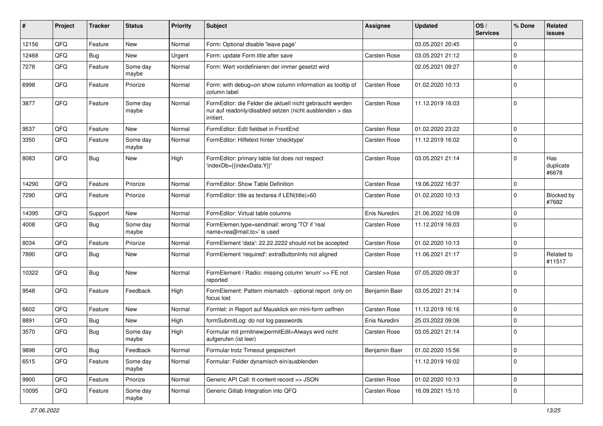| #     | Project | <b>Tracker</b> | <b>Status</b>     | <b>Priority</b> | <b>Subject</b>                                                                                                                      | <b>Assignee</b>     | <b>Updated</b>   | OS/<br><b>Services</b> | % Done      | Related<br>issues         |
|-------|---------|----------------|-------------------|-----------------|-------------------------------------------------------------------------------------------------------------------------------------|---------------------|------------------|------------------------|-------------|---------------------------|
| 12156 | QFQ     | Feature        | <b>New</b>        | Normal          | Form: Optional disable 'leave page'                                                                                                 |                     | 03.05.2021 20:45 |                        | 0           |                           |
| 12468 | QFQ     | Bug            | <b>New</b>        | Urgent          | Form: update Form.title after save                                                                                                  | Carsten Rose        | 03.05.2021 21:12 |                        | 0           |                           |
| 7278  | QFQ     | Feature        | Some day<br>maybe | Normal          | Form: Wert vordefinieren der immer gesetzt wird                                                                                     |                     | 02.05.2021 09:27 |                        | $\Omega$    |                           |
| 6998  | QFQ     | Feature        | Priorize          | Normal          | Form: with debug=on show column information as tooltip of<br>column label                                                           | Carsten Rose        | 01.02.2020 10:13 |                        | $\Omega$    |                           |
| 3877  | QFQ     | Feature        | Some day<br>maybe | Normal          | FormEditor: die Felder die aktuell nicht gebraucht werden<br>nur auf readonly/disabled setzen (nicht ausblenden > das<br>irritiert. | <b>Carsten Rose</b> | 11.12.2019 16:03 |                        | $\Omega$    |                           |
| 9537  | QFQ     | Feature        | New               | Normal          | FormEditor: Edit fieldset in FrontEnd                                                                                               | Carsten Rose        | 01.02.2020 23:22 |                        | $\Omega$    |                           |
| 3350  | QFQ     | Feature        | Some day<br>maybe | Normal          | FormEditor: Hilfetext hinter 'checktype'                                                                                            | Carsten Rose        | 11.12.2019 16:02 |                        | $\Omega$    |                           |
| 8083  | QFQ     | Bug            | <b>New</b>        | High            | FormEditor: primary table list does not respect<br>'indexDb={{indexData:Y}}'                                                        | Carsten Rose        | 03.05.2021 21:14 |                        | $\Omega$    | Has<br>duplicate<br>#6678 |
| 14290 | QFQ     | Feature        | Priorize          | Normal          | FormEditor: Show Table Definition                                                                                                   | Carsten Rose        | 19.06.2022 16:37 |                        | 0           |                           |
| 7290  | QFQ     | Feature        | Priorize          | Normal          | FormEditor: title as textarea if LEN(title)>60                                                                                      | Carsten Rose        | 01.02.2020 10:13 |                        | $\Omega$    | Blocked by<br>#7682       |
| 14395 | QFQ     | Support        | New               | Normal          | FormEditor: Virtual table columns                                                                                                   | Enis Nuredini       | 21.06.2022 16:09 |                        | $\Omega$    |                           |
| 4008  | QFQ     | Bug            | Some day<br>maybe | Normal          | FormElemen.type=sendmail: wrong 'TO' if 'real<br>name <rea@mail.to>' is used</rea@mail.to>                                          | Carsten Rose        | 11.12.2019 16:03 |                        | $\Omega$    |                           |
| 8034  | QFQ     | Feature        | Priorize          | Normal          | FormElement 'data': 22.22.2222 should not be accepted                                                                               | Carsten Rose        | 01.02.2020 10:13 |                        | $\mathbf 0$ |                           |
| 7890  | QFQ     | Bug            | <b>New</b>        | Normal          | FormElement 'required': extraButtonInfo not aligned                                                                                 | Carsten Rose        | 11.06.2021 21:17 |                        | 0           | Related to<br>#11517      |
| 10322 | QFQ     | Bug            | <b>New</b>        | Normal          | FormElement / Radio: missing column 'enum' >> FE not<br>reported                                                                    | Carsten Rose        | 07.05.2020 09:37 |                        | $\Omega$    |                           |
| 9548  | QFQ     | Feature        | Feedback          | High            | FormElement: Pattern mismatch - optional report only on<br>focus lost                                                               | Benjamin Baer       | 03.05.2021 21:14 |                        | $\Omega$    |                           |
| 6602  | QFQ     | Feature        | <b>New</b>        | Normal          | Formlet: in Report auf Mausklick ein mini-form oeffnen                                                                              | Carsten Rose        | 11.12.2019 16:16 |                        | $\mathbf 0$ |                           |
| 8891  | QFQ     | Bug            | New               | High            | formSubmitLog: do not log passwords                                                                                                 | Enis Nuredini       | 25.03.2022 09:06 |                        | 0           |                           |
| 3570  | QFQ     | Bug            | Some day<br>maybe | High            | Formular mit prmitnew permitEdit=Always wird nicht<br>aufgerufen (ist leer)                                                         | Carsten Rose        | 03.05.2021 21:14 |                        | $\Omega$    |                           |
| 9898  | QFQ     | <b>Bug</b>     | Feedback          | Normal          | Formular trotz Timeout gespeichert                                                                                                  | Benjamin Baer       | 01.02.2020 15:56 |                        | $\mathbf 0$ |                           |
| 6515  | QFQ     | Feature        | Some day<br>maybe | Normal          | Formular: Felder dynamisch ein/ausblenden                                                                                           |                     | 11.12.2019 16:02 |                        | $\Omega$    |                           |
| 9900  | QFQ     | Feature        | Priorize          | Normal          | Generic API Call: tt-content record >> JSON                                                                                         | Carsten Rose        | 01.02.2020 10:13 |                        | 0           |                           |
| 10095 | QFQ     | Feature        | Some day<br>maybe | Normal          | Generic Gitlab Integration into QFQ                                                                                                 | Carsten Rose        | 16.09.2021 15:10 |                        | $\mathbf 0$ |                           |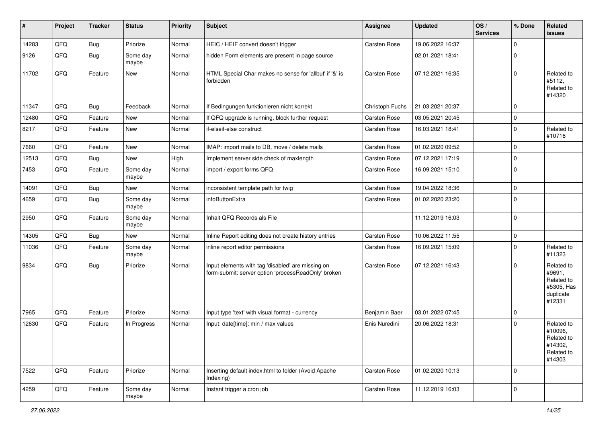| #     | Project | <b>Tracker</b> | <b>Status</b>     | <b>Priority</b> | <b>Subject</b>                                                                                           | <b>Assignee</b> | <b>Updated</b>   | OS/<br><b>Services</b> | % Done      | Related<br>issues                                                       |
|-------|---------|----------------|-------------------|-----------------|----------------------------------------------------------------------------------------------------------|-----------------|------------------|------------------------|-------------|-------------------------------------------------------------------------|
| 14283 | QFQ     | <b>Bug</b>     | Priorize          | Normal          | HEIC / HEIF convert doesn't trigger                                                                      | Carsten Rose    | 19.06.2022 16:37 |                        | $\mathbf 0$ |                                                                         |
| 9126  | QFQ     | <b>Bug</b>     | Some day<br>maybe | Normal          | hidden Form elements are present in page source                                                          |                 | 02.01.2021 18:41 |                        | $\mathbf 0$ |                                                                         |
| 11702 | QFQ     | Feature        | New               | Normal          | HTML Special Char makes no sense for 'allbut' if '&' is<br>forbidden                                     | Carsten Rose    | 07.12.2021 16:35 |                        | $\mathbf 0$ | Related to<br>#5112,<br>Related to<br>#14320                            |
| 11347 | QFQ     | <b>Bug</b>     | Feedback          | Normal          | If Bedingungen funktionieren nicht korrekt                                                               | Christoph Fuchs | 21.03.2021 20:37 |                        | $\mathbf 0$ |                                                                         |
| 12480 | QFQ     | Feature        | <b>New</b>        | Normal          | If QFQ upgrade is running, block further request                                                         | Carsten Rose    | 03.05.2021 20:45 |                        | $\mathbf 0$ |                                                                         |
| 8217  | QFQ     | Feature        | New               | Normal          | if-elseif-else construct                                                                                 | Carsten Rose    | 16.03.2021 18:41 |                        | $\mathbf 0$ | Related to<br>#10716                                                    |
| 7660  | QFQ     | Feature        | New               | Normal          | IMAP: import mails to DB, move / delete mails                                                            | Carsten Rose    | 01.02.2020 09:52 |                        | $\mathbf 0$ |                                                                         |
| 12513 | QFQ     | Bug            | New               | High            | Implement server side check of maxlength                                                                 | Carsten Rose    | 07.12.2021 17:19 |                        | $\mathbf 0$ |                                                                         |
| 7453  | QFQ     | Feature        | Some day<br>maybe | Normal          | import / export forms QFQ                                                                                | Carsten Rose    | 16.09.2021 15:10 |                        | $\mathbf 0$ |                                                                         |
| 14091 | QFQ     | <b>Bug</b>     | New               | Normal          | inconsistent template path for twig                                                                      | Carsten Rose    | 19.04.2022 18:36 |                        | $\mathbf 0$ |                                                                         |
| 4659  | QFQ     | Bug            | Some day<br>maybe | Normal          | infoButtonExtra                                                                                          | Carsten Rose    | 01.02.2020 23:20 |                        | $\mathbf 0$ |                                                                         |
| 2950  | QFQ     | Feature        | Some day<br>maybe | Normal          | Inhalt QFQ Records als File                                                                              |                 | 11.12.2019 16:03 |                        | $\mathbf 0$ |                                                                         |
| 14305 | QFQ     | <b>Bug</b>     | New               | Normal          | Inline Report editing does not create history entries                                                    | Carsten Rose    | 10.06.2022 11:55 |                        | $\mathbf 0$ |                                                                         |
| 11036 | QFQ     | Feature        | Some day<br>maybe | Normal          | inline report editor permissions                                                                         | Carsten Rose    | 16.09.2021 15:09 |                        | $\mathbf 0$ | Related to<br>#11323                                                    |
| 9834  | QFQ     | <b>Bug</b>     | Priorize          | Normal          | Input elements with tag 'disabled' are missing on<br>form-submit: server option 'processReadOnly' broken | Carsten Rose    | 07.12.2021 16:43 |                        | $\mathbf 0$ | Related to<br>#9691,<br>Related to<br>#5305, Has<br>duplicate<br>#12331 |
| 7965  | QFQ     | Feature        | Priorize          | Normal          | Input type 'text' with visual format - currency                                                          | Benjamin Baer   | 03.01.2022 07:45 |                        | $\mathbf 0$ |                                                                         |
| 12630 | QFQ     | Feature        | In Progress       | Normal          | Input: date[time]: min / max values                                                                      | Enis Nuredini   | 20.06.2022 18:31 |                        | $\mathbf 0$ | Related to<br>#10096,<br>Related to<br>#14302,<br>Related to<br>#14303  |
| 7522  | QFQ     | Feature        | Priorize          | Normal          | Inserting default index.html to folder (Avoid Apache<br>Indexing)                                        | Carsten Rose    | 01.02.2020 10:13 |                        | $\mathbf 0$ |                                                                         |
| 4259  | QFQ     | Feature        | Some day<br>maybe | Normal          | Instant trigger a cron job                                                                               | Carsten Rose    | 11.12.2019 16:03 |                        | $\mathbf 0$ |                                                                         |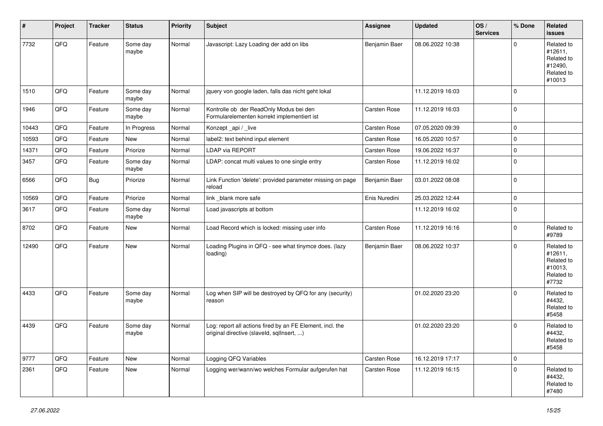| #     | Project | <b>Tracker</b> | <b>Status</b>     | <b>Priority</b> | <b>Subject</b>                                                                                         | Assignee      | <b>Updated</b>   | OS/<br><b>Services</b> | % Done              | Related<br><b>issues</b>                                               |
|-------|---------|----------------|-------------------|-----------------|--------------------------------------------------------------------------------------------------------|---------------|------------------|------------------------|---------------------|------------------------------------------------------------------------|
| 7732  | QFQ     | Feature        | Some day<br>maybe | Normal          | Javascript: Lazy Loading der add on libs                                                               | Benjamin Baer | 08.06.2022 10:38 |                        | $\mathbf 0$         | Related to<br>#12611,<br>Related to<br>#12490,<br>Related to<br>#10013 |
| 1510  | QFQ     | Feature        | Some day<br>maybe | Normal          | jquery von google laden, falls das nicht geht lokal                                                    |               | 11.12.2019 16:03 |                        | $\mathbf 0$         |                                                                        |
| 1946  | QFQ     | Feature        | Some day<br>maybe | Normal          | Kontrolle ob der ReadOnly Modus bei den<br>Formularelementen korrekt implementiert ist                 | Carsten Rose  | 11.12.2019 16:03 |                        | $\mathbf 0$         |                                                                        |
| 10443 | QFQ     | Feature        | In Progress       | Normal          | Konzept _api / _live                                                                                   | Carsten Rose  | 07.05.2020 09:39 |                        | $\mathbf 0$         |                                                                        |
| 10593 | QFQ     | Feature        | <b>New</b>        | Normal          | label2: text behind input element                                                                      | Carsten Rose  | 16.05.2020 10:57 |                        | $\mathbf 0$         |                                                                        |
| 14371 | QFQ     | Feature        | Priorize          | Normal          | LDAP via REPORT                                                                                        | Carsten Rose  | 19.06.2022 16:37 |                        | $\pmb{0}$           |                                                                        |
| 3457  | QFQ     | Feature        | Some day<br>maybe | Normal          | LDAP: concat multi values to one single entry                                                          | Carsten Rose  | 11.12.2019 16:02 |                        | $\mathbf 0$         |                                                                        |
| 6566  | QFQ     | <b>Bug</b>     | Priorize          | Normal          | Link Function 'delete': provided parameter missing on page<br>reload                                   | Benjamin Baer | 03.01.2022 08:08 |                        | $\mathbf 0$         |                                                                        |
| 10569 | QFQ     | Feature        | Priorize          | Normal          | link _blank more safe                                                                                  | Enis Nuredini | 25.03.2022 12:44 |                        | $\pmb{0}$           |                                                                        |
| 3617  | QFQ     | Feature        | Some day<br>maybe | Normal          | Load javascripts at bottom                                                                             |               | 11.12.2019 16:02 |                        | $\mathbf 0$         |                                                                        |
| 8702  | QFQ     | Feature        | New               | Normal          | Load Record which is locked: missing user info                                                         | Carsten Rose  | 11.12.2019 16:16 |                        | $\mathbf 0$         | Related to<br>#9789                                                    |
| 12490 | QFQ     | Feature        | New               | Normal          | Loading Plugins in QFQ - see what tinymce does. (lazy<br>loading)                                      | Benjamin Baer | 08.06.2022 10:37 |                        | $\mathbf 0$         | Related to<br>#12611,<br>Related to<br>#10013,<br>Related to<br>#7732  |
| 4433  | QFQ     | Feature        | Some day<br>maybe | Normal          | Log when SIP will be destroyed by QFQ for any (security)<br>reason                                     |               | 01.02.2020 23:20 |                        | $\mathbf 0$         | Related to<br>#4432,<br>Related to<br>#5458                            |
| 4439  | QFQ     | Feature        | Some day<br>maybe | Normal          | Log: report all actions fired by an FE Element, incl. the<br>original directive (slaveld, sgllnsert, ) |               | 01.02.2020 23:20 |                        | $\mathbf 0$         | Related to<br>#4432,<br>Related to<br>#5458                            |
| 9777  | QFQ     | Feature        | New               | Normal          | Logging QFQ Variables                                                                                  | Carsten Rose  | 16.12.2019 17:17 |                        | $\mathsf{O}\xspace$ |                                                                        |
| 2361  | QFQ     | Feature        | New               | Normal          | Logging wer/wann/wo welches Formular aufgerufen hat                                                    | Carsten Rose  | 11.12.2019 16:15 |                        | $\mathbf 0$         | Related to<br>#4432,<br>Related to<br>#7480                            |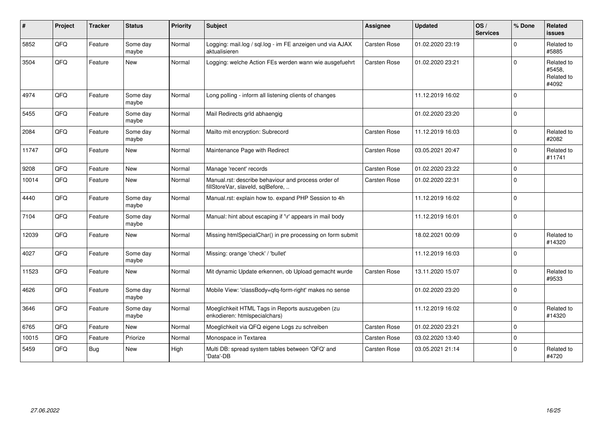| $\#$  | Project | <b>Tracker</b> | <b>Status</b>     | <b>Priority</b> | <b>Subject</b>                                                                           | <b>Assignee</b>     | <b>Updated</b>   | OS/<br><b>Services</b> | % Done      | Related<br><b>issues</b>                    |
|-------|---------|----------------|-------------------|-----------------|------------------------------------------------------------------------------------------|---------------------|------------------|------------------------|-------------|---------------------------------------------|
| 5852  | QFQ     | Feature        | Some day<br>maybe | Normal          | Logging: mail.log / sql.log - im FE anzeigen und via AJAX<br>aktualisieren               | Carsten Rose        | 01.02.2020 23:19 |                        | $\Omega$    | Related to<br>#5885                         |
| 3504  | QFQ     | Feature        | <b>New</b>        | Normal          | Logging: welche Action FEs werden wann wie ausgefuehrt                                   | Carsten Rose        | 01.02.2020 23:21 |                        | $\Omega$    | Related to<br>#5458,<br>Related to<br>#4092 |
| 4974  | QFQ     | Feature        | Some day<br>maybe | Normal          | Long polling - inform all listening clients of changes                                   |                     | 11.12.2019 16:02 |                        | $\mathbf 0$ |                                             |
| 5455  | QFQ     | Feature        | Some day<br>maybe | Normal          | Mail Redirects grld abhaengig                                                            |                     | 01.02.2020 23:20 |                        | $\Omega$    |                                             |
| 2084  | QFQ     | Feature        | Some day<br>maybe | Normal          | Mailto mit encryption: Subrecord                                                         | <b>Carsten Rose</b> | 11.12.2019 16:03 |                        | $\Omega$    | Related to<br>#2082                         |
| 11747 | QFQ     | Feature        | <b>New</b>        | Normal          | Maintenance Page with Redirect                                                           | Carsten Rose        | 03.05.2021 20:47 |                        | $\Omega$    | Related to<br>#11741                        |
| 9208  | QFQ     | Feature        | <b>New</b>        | Normal          | Manage 'recent' records                                                                  | Carsten Rose        | 01.02.2020 23:22 |                        | $\Omega$    |                                             |
| 10014 | QFQ     | Feature        | <b>New</b>        | Normal          | Manual.rst: describe behaviour and process order of<br>fillStoreVar, slaveId, sqlBefore, | Carsten Rose        | 01.02.2020 22:31 |                        | $\Omega$    |                                             |
| 4440  | QFQ     | Feature        | Some day<br>maybe | Normal          | Manual.rst: explain how to. expand PHP Session to 4h                                     |                     | 11.12.2019 16:02 |                        | $\Omega$    |                                             |
| 7104  | QFQ     | Feature        | Some day<br>maybe | Normal          | Manual: hint about escaping if '\r' appears in mail body                                 |                     | 11.12.2019 16:01 |                        | $\Omega$    |                                             |
| 12039 | QFQ     | Feature        | <b>New</b>        | Normal          | Missing htmlSpecialChar() in pre processing on form submit                               |                     | 18.02.2021 00:09 |                        | $\Omega$    | Related to<br>#14320                        |
| 4027  | QFQ     | Feature        | Some day<br>maybe | Normal          | Missing: orange 'check' / 'bullet'                                                       |                     | 11.12.2019 16:03 |                        | $\Omega$    |                                             |
| 11523 | QFQ     | Feature        | New               | Normal          | Mit dynamic Update erkennen, ob Upload gemacht wurde                                     | Carsten Rose        | 13.11.2020 15:07 |                        | $\Omega$    | Related to<br>#9533                         |
| 4626  | QFQ     | Feature        | Some day<br>maybe | Normal          | Mobile View: 'classBody=qfq-form-right' makes no sense                                   |                     | 01.02.2020 23:20 |                        | $\Omega$    |                                             |
| 3646  | QFQ     | Feature        | Some day<br>maybe | Normal          | Moeglichkeit HTML Tags in Reports auszugeben (zu<br>enkodieren: htmlspecialchars)        |                     | 11.12.2019 16:02 |                        | $\Omega$    | Related to<br>#14320                        |
| 6765  | QFQ     | Feature        | New               | Normal          | Moeglichkeit via QFQ eigene Logs zu schreiben                                            | Carsten Rose        | 01.02.2020 23:21 |                        | $\Omega$    |                                             |
| 10015 | QFQ     | Feature        | Priorize          | Normal          | Monospace in Textarea                                                                    | Carsten Rose        | 03.02.2020 13:40 |                        | $\Omega$    |                                             |
| 5459  | QFQ     | Bug            | New               | High            | Multi DB: spread system tables between 'QFQ' and<br>'Data'-DB                            | Carsten Rose        | 03.05.2021 21:14 |                        | $\Omega$    | Related to<br>#4720                         |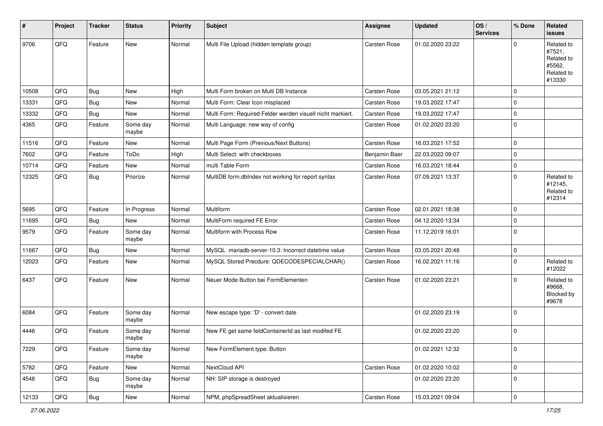| $\sharp$ | Project | <b>Tracker</b> | <b>Status</b>     | <b>Priority</b> | <b>Subject</b>                                             | <b>Assignee</b>     | <b>Updated</b>   | OS/<br><b>Services</b> | % Done      | Related<br><b>issues</b>                                             |
|----------|---------|----------------|-------------------|-----------------|------------------------------------------------------------|---------------------|------------------|------------------------|-------------|----------------------------------------------------------------------|
| 9706     | QFQ     | Feature        | New               | Normal          | Multi File Upload (hidden template group)                  | Carsten Rose        | 01.02.2020 23:22 |                        | $\mathbf 0$ | Related to<br>#7521,<br>Related to<br>#5562,<br>Related to<br>#13330 |
| 10508    | QFQ     | Bug            | New               | High            | Multi Form broken on Multi DB Instance                     | <b>Carsten Rose</b> | 03.05.2021 21:12 |                        | $\mathbf 0$ |                                                                      |
| 13331    | QFQ     | Bug            | New               | Normal          | Multi Form: Clear Icon misplaced                           | Carsten Rose        | 19.03.2022 17:47 |                        | $\mathbf 0$ |                                                                      |
| 13332    | QFQ     | <b>Bug</b>     | New               | Normal          | Multi Form: Required Felder werden visuell nicht markiert. | Carsten Rose        | 19.03.2022 17:47 |                        | $\mathbf 0$ |                                                                      |
| 4365     | QFQ     | Feature        | Some day<br>maybe | Normal          | Multi Language: new way of config                          | Carsten Rose        | 01.02.2020 23:20 |                        | $\mathbf 0$ |                                                                      |
| 11516    | QFQ     | Feature        | New               | Normal          | Multi Page Form (Previous/Next Buttons)                    | Carsten Rose        | 16.03.2021 17:52 |                        | $\mathbf 0$ |                                                                      |
| 7602     | QFQ     | Feature        | ToDo              | High            | Multi Select: with checkboxes                              | Benjamin Baer       | 22.03.2022 09:07 |                        | $\mathbf 0$ |                                                                      |
| 10714    | QFQ     | Feature        | New               | Normal          | multi Table Form                                           | Carsten Rose        | 16.03.2021 18:44 |                        | $\mathsf 0$ |                                                                      |
| 12325    | QFQ     | <b>Bug</b>     | Priorize          | Normal          | MultiDB form.dblndex not working for report syntax         | Carsten Rose        | 07.09.2021 13:37 |                        | $\mathbf 0$ | Related to<br>#12145,<br>Related to<br>#12314                        |
| 5695     | QFQ     | Feature        | In Progress       | Normal          | Multiform                                                  | Carsten Rose        | 02.01.2021 18:38 |                        | 0           |                                                                      |
| 11695    | QFQ     | Bug            | New               | Normal          | MultiForm required FE Error                                | Carsten Rose        | 04.12.2020 13:34 |                        | $\mathbf 0$ |                                                                      |
| 9579     | QFQ     | Feature        | Some day<br>maybe | Normal          | Multiform with Process Row                                 | Carsten Rose        | 11.12.2019 16:01 |                        | $\pmb{0}$   |                                                                      |
| 11667    | QFQ     | Bug            | <b>New</b>        | Normal          | MySQL mariadb-server-10.3: Incorrect datetime value        | Carsten Rose        | 03.05.2021 20:48 |                        | $\mathsf 0$ |                                                                      |
| 12023    | QFQ     | Feature        | New               | Normal          | MySQL Stored Precdure: QDECODESPECIALCHAR()                | Carsten Rose        | 16.02.2021 11:16 |                        | 0           | Related to<br>#12022                                                 |
| 6437     | QFQ     | Feature        | New               | Normal          | Neuer Mode Button bei FormElementen                        | Carsten Rose        | 01.02.2020 23:21 |                        | $\mathbf 0$ | Related to<br>#9668,<br>Blocked by<br>#9678                          |
| 6084     | QFQ     | Feature        | Some day<br>maybe | Normal          | New escape type: 'D' - convert date                        |                     | 01.02.2020 23:19 |                        | $\mathbf 0$ |                                                                      |
| 4446     | QFQ     | Feature        | Some day<br>maybe | Normal          | New FE get same feldContainerId as last modifed FE         |                     | 01.02.2020 23:20 |                        | $\mathbf 0$ |                                                                      |
| 7229     | QFQ     | Feature        | Some day<br>maybe | Normal          | New FormElement.type: Button                               |                     | 01.02.2021 12:32 |                        | $\pmb{0}$   |                                                                      |
| 5782     | QFQ     | Feature        | New               | Normal          | NextCloud API                                              | Carsten Rose        | 01.02.2020 10:02 |                        | $\mathsf 0$ |                                                                      |
| 4546     | QFQ     | <b>Bug</b>     | Some day<br>maybe | Normal          | NH: SIP storage is destroyed                               |                     | 01.02.2020 23:20 |                        | $\pmb{0}$   |                                                                      |
| 12133    | QFQ     | j Bug          | New               | Normal          | NPM, phpSpreadSheet aktualisieren                          | Carsten Rose        | 15.03.2021 09:04 |                        | $\pmb{0}$   |                                                                      |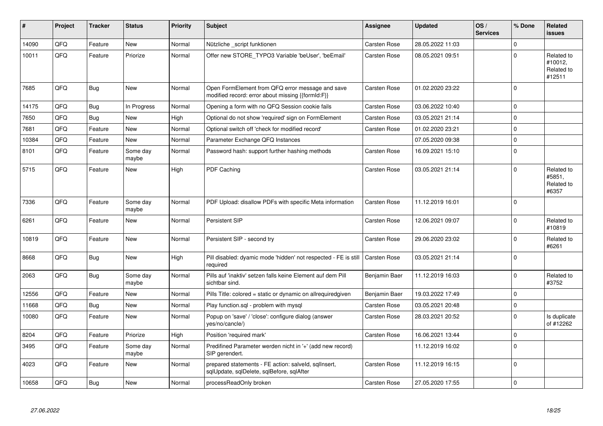| #     | Project | <b>Tracker</b> | <b>Status</b>     | <b>Priority</b> | <b>Subject</b>                                                                                        | <b>Assignee</b>     | <b>Updated</b>   | OS/<br><b>Services</b> | % Done      | <b>Related</b><br><b>issues</b>               |
|-------|---------|----------------|-------------------|-----------------|-------------------------------------------------------------------------------------------------------|---------------------|------------------|------------------------|-------------|-----------------------------------------------|
| 14090 | QFQ     | Feature        | <b>New</b>        | Normal          | Nützliche _script funktionen                                                                          | Carsten Rose        | 28.05.2022 11:03 |                        | $\Omega$    |                                               |
| 10011 | QFQ     | Feature        | Priorize          | Normal          | Offer new STORE_TYPO3 Variable 'beUser', 'beEmail'                                                    | Carsten Rose        | 08.05.2021 09:51 |                        | $\mathbf 0$ | Related to<br>#10012,<br>Related to<br>#12511 |
| 7685  | QFQ     | <b>Bug</b>     | <b>New</b>        | Normal          | Open FormElement from QFQ error message and save<br>modified record: error about missing {{formId:F}} | Carsten Rose        | 01.02.2020 23:22 |                        | $\mathbf 0$ |                                               |
| 14175 | QFQ     | <b>Bug</b>     | In Progress       | Normal          | Opening a form with no QFQ Session cookie fails                                                       | Carsten Rose        | 03.06.2022 10:40 |                        | $\mathbf 0$ |                                               |
| 7650  | QFQ     | Bug            | <b>New</b>        | High            | Optional do not show 'required' sign on FormElement                                                   | Carsten Rose        | 03.05.2021 21:14 |                        | $\mathsf 0$ |                                               |
| 7681  | QFQ     | Feature        | <b>New</b>        | Normal          | Optional switch off 'check for modified record'                                                       | Carsten Rose        | 01.02.2020 23:21 |                        | $\mathsf 0$ |                                               |
| 10384 | QFQ     | Feature        | <b>New</b>        | Normal          | Parameter Exchange QFQ Instances                                                                      |                     | 07.05.2020 09:38 |                        | $\mathbf 0$ |                                               |
| 8101  | QFQ     | Feature        | Some day<br>maybe | Normal          | Password hash: support further hashing methods                                                        | Carsten Rose        | 16.09.2021 15:10 |                        | $\mathsf 0$ |                                               |
| 5715  | QFQ     | Feature        | <b>New</b>        | High            | PDF Caching                                                                                           | Carsten Rose        | 03.05.2021 21:14 |                        | $\Omega$    | Related to<br>#5851,<br>Related to<br>#6357   |
| 7336  | QFQ     | Feature        | Some day<br>maybe | Normal          | PDF Upload: disallow PDFs with specific Meta information                                              | <b>Carsten Rose</b> | 11.12.2019 16:01 |                        | $\Omega$    |                                               |
| 6261  | QFQ     | Feature        | <b>New</b>        | Normal          | Persistent SIP                                                                                        | Carsten Rose        | 12.06.2021 09:07 |                        | $\mathbf 0$ | Related to<br>#10819                          |
| 10819 | QFQ     | Feature        | <b>New</b>        | Normal          | Persistent SIP - second try                                                                           | Carsten Rose        | 29.06.2020 23:02 |                        | $\mathbf 0$ | Related to<br>#6261                           |
| 8668  | QFQ     | Bug            | New               | High            | Pill disabled: dyamic mode 'hidden' not respected - FE is still<br>required                           | <b>Carsten Rose</b> | 03.05.2021 21:14 |                        | $\mathbf 0$ |                                               |
| 2063  | QFQ     | Bug            | Some day<br>maybe | Normal          | Pills auf 'inaktiv' setzen falls keine Element auf dem Pill<br>sichtbar sind.                         | Benjamin Baer       | 11.12.2019 16:03 |                        | $\Omega$    | Related to<br>#3752                           |
| 12556 | QFQ     | Feature        | <b>New</b>        | Normal          | Pills Title: colored = static or dynamic on allrequiredgiven                                          | Benjamin Baer       | 19.03.2022 17:49 |                        | $\mathbf 0$ |                                               |
| 11668 | QFQ     | Bug            | <b>New</b>        | Normal          | Play function.sql - problem with mysql                                                                | <b>Carsten Rose</b> | 03.05.2021 20:48 |                        | $\mathsf 0$ |                                               |
| 10080 | QFQ     | Feature        | New               | Normal          | Popup on 'save' / 'close': configure dialog (answer<br>yes/no/cancle/)                                | Carsten Rose        | 28.03.2021 20:52 |                        | $\mathsf 0$ | Is duplicate<br>of #12262                     |
| 8204  | QFQ     | Feature        | Priorize          | High            | Position 'required mark'                                                                              | Carsten Rose        | 16.06.2021 13:44 |                        | $\mathbf 0$ |                                               |
| 3495  | QFQ     | Feature        | Some day<br>maybe | Normal          | Predifined Parameter werden nicht in '+' (add new record)<br>SIP gerendert.                           |                     | 11.12.2019 16:02 |                        | $\mathbf 0$ |                                               |
| 4023  | QFQ     | Feature        | New               | Normal          | prepared statements - FE action: salveld, sqllnsert,<br>sqlUpdate, sqlDelete, sqlBefore, sqlAfter     | Carsten Rose        | 11.12.2019 16:15 |                        | $\mathbf 0$ |                                               |
| 10658 | QFQ     | Bug            | New               | Normal          | processReadOnly broken                                                                                | <b>Carsten Rose</b> | 27.05.2020 17:55 |                        | $\mathsf 0$ |                                               |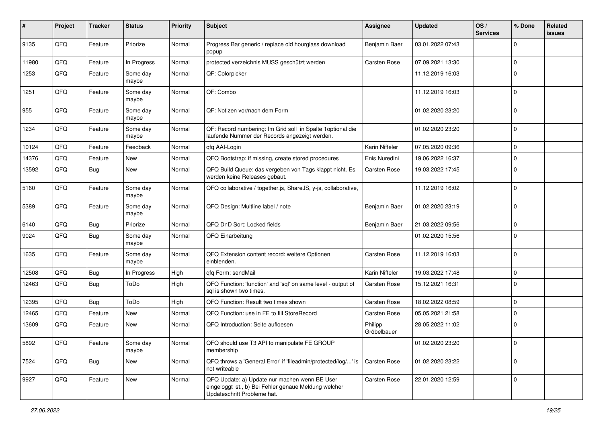| $\sharp$ | Project | <b>Tracker</b> | <b>Status</b>     | <b>Priority</b> | <b>Subject</b>                                                                                                                        | <b>Assignee</b>        | <b>Updated</b>   | OS/<br><b>Services</b> | % Done      | Related<br><b>issues</b> |
|----------|---------|----------------|-------------------|-----------------|---------------------------------------------------------------------------------------------------------------------------------------|------------------------|------------------|------------------------|-------------|--------------------------|
| 9135     | QFQ     | Feature        | Priorize          | Normal          | Progress Bar generic / replace old hourglass download<br>popup                                                                        | Benjamin Baer          | 03.01.2022 07:43 |                        | 0           |                          |
| 11980    | QFQ     | Feature        | In Progress       | Normal          | protected verzeichnis MUSS geschützt werden                                                                                           | Carsten Rose           | 07.09.2021 13:30 |                        | $\mathbf 0$ |                          |
| 1253     | QFQ     | Feature        | Some day<br>maybe | Normal          | QF: Colorpicker                                                                                                                       |                        | 11.12.2019 16:03 |                        | $\Omega$    |                          |
| 1251     | QFQ     | Feature        | Some day<br>maybe | Normal          | QF: Combo                                                                                                                             |                        | 11.12.2019 16:03 |                        | $\Omega$    |                          |
| 955      | QFQ     | Feature        | Some day<br>maybe | Normal          | QF: Notizen vor/nach dem Form                                                                                                         |                        | 01.02.2020 23:20 |                        | $\Omega$    |                          |
| 1234     | QFQ     | Feature        | Some day<br>maybe | Normal          | QF: Record numbering: Im Grid soll in Spalte 1 optional die<br>laufende Nummer der Records angezeigt werden.                          |                        | 01.02.2020 23:20 |                        | $\Omega$    |                          |
| 10124    | QFQ     | Feature        | Feedback          | Normal          | qfq AAI-Login                                                                                                                         | Karin Niffeler         | 07.05.2020 09:36 |                        | $\mathbf 0$ |                          |
| 14376    | QFQ     | Feature        | New               | Normal          | QFQ Bootstrap: if missing, create stored procedures                                                                                   | Enis Nuredini          | 19.06.2022 16:37 |                        | 0           |                          |
| 13592    | QFQ     | Bug            | New               | Normal          | QFQ Build Queue: das vergeben von Tags klappt nicht. Es<br>werden keine Releases gebaut.                                              | Carsten Rose           | 19.03.2022 17:45 |                        | $\Omega$    |                          |
| 5160     | QFQ     | Feature        | Some day<br>maybe | Normal          | QFQ collaborative / together.js, ShareJS, y-js, collaborative,                                                                        |                        | 11.12.2019 16:02 |                        | $\Omega$    |                          |
| 5389     | QFQ     | Feature        | Some day<br>maybe | Normal          | QFQ Design: Multline label / note                                                                                                     | Benjamin Baer          | 01.02.2020 23:19 |                        | $\mathbf 0$ |                          |
| 6140     | QFQ     | <b>Bug</b>     | Priorize          | Normal          | QFQ DnD Sort: Locked fields                                                                                                           | Benjamin Baer          | 21.03.2022 09:56 |                        | $\mathbf 0$ |                          |
| 9024     | QFQ     | Bug            | Some day<br>maybe | Normal          | QFQ Einarbeitung                                                                                                                      |                        | 01.02.2020 15:56 |                        | $\Omega$    |                          |
| 1635     | QFQ     | Feature        | Some day<br>maybe | Normal          | QFQ Extension content record: weitere Optionen<br>einblenden.                                                                         | Carsten Rose           | 11.12.2019 16:03 |                        | $\Omega$    |                          |
| 12508    | QFQ     | Bug            | In Progress       | High            | qfq Form: sendMail                                                                                                                    | Karin Niffeler         | 19.03.2022 17:48 |                        | $\Omega$    |                          |
| 12463    | QFQ     | <b>Bug</b>     | ToDo              | High            | QFQ Function: 'function' and 'sql' on same level - output of<br>sql is shown two times.                                               | Carsten Rose           | 15.12.2021 16:31 |                        | $\Omega$    |                          |
| 12395    | QFQ     | <b>Bug</b>     | ToDo              | High            | QFQ Function: Result two times shown                                                                                                  | Carsten Rose           | 18.02.2022 08:59 |                        | $\mathbf 0$ |                          |
| 12465    | QFQ     | Feature        | <b>New</b>        | Normal          | QFQ Function: use in FE to fill StoreRecord                                                                                           | Carsten Rose           | 05.05.2021 21:58 |                        | $\mathbf 0$ |                          |
| 13609    | QFQ     | Feature        | New               | Normal          | QFQ Introduction: Seite aufloesen                                                                                                     | Philipp<br>Gröbelbauer | 28.05.2022 11:02 |                        | $\Omega$    |                          |
| 5892     | QFQ     | Feature        | Some day<br>maybe | Normal          | QFQ should use T3 API to manipulate FE GROUP<br>membership                                                                            |                        | 01.02.2020 23:20 |                        | l 0         |                          |
| 7524     | QFQ     | <b>Bug</b>     | New               | Normal          | QFQ throws a 'General Error' if 'fileadmin/protected/log/' is<br>not writeable                                                        | Carsten Rose           | 01.02.2020 23:22 |                        | $\mathbf 0$ |                          |
| 9927     | QFQ     | Feature        | New               | Normal          | QFQ Update: a) Update nur machen wenn BE User<br>eingeloggt ist., b) Bei Fehler genaue Meldung welcher<br>Updateschritt Probleme hat. | Carsten Rose           | 22.01.2020 12:59 |                        | $\mathbf 0$ |                          |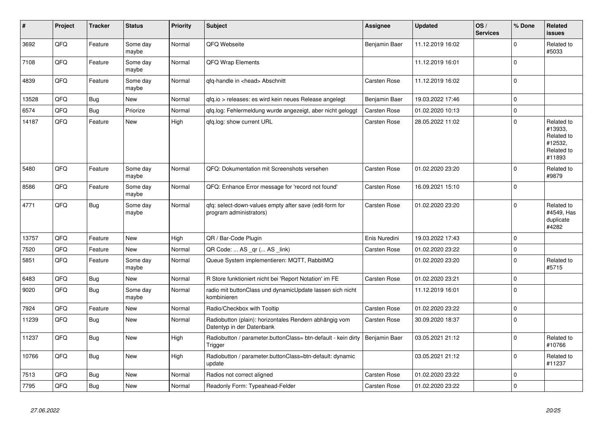| #     | Project | <b>Tracker</b> | <b>Status</b>     | <b>Priority</b> | <b>Subject</b>                                                                      | <b>Assignee</b> | <b>Updated</b>   | OS/<br><b>Services</b> | % Done      | Related<br><b>issues</b>                                               |
|-------|---------|----------------|-------------------|-----------------|-------------------------------------------------------------------------------------|-----------------|------------------|------------------------|-------------|------------------------------------------------------------------------|
| 3692  | QFQ     | Feature        | Some day<br>maybe | Normal          | QFQ Webseite                                                                        | Benjamin Baer   | 11.12.2019 16:02 |                        | $\Omega$    | Related to<br>#5033                                                    |
| 7108  | QFQ     | Feature        | Some day<br>maybe | Normal          | QFQ Wrap Elements                                                                   |                 | 11.12.2019 16:01 |                        | $\Omega$    |                                                                        |
| 4839  | QFQ     | Feature        | Some day<br>maybe | Normal          | qfq-handle in <head> Abschnitt</head>                                               | Carsten Rose    | 11.12.2019 16:02 |                        | $\mathbf 0$ |                                                                        |
| 13528 | QFQ     | Bug            | New               | Normal          | gfg.io > releases: es wird kein neues Release angelegt                              | Benjamin Baer   | 19.03.2022 17:46 |                        | $\mathbf 0$ |                                                                        |
| 6574  | QFQ     | Bug            | Priorize          | Normal          | gfg.log: Fehlermeldung wurde angezeigt, aber nicht geloggt                          | Carsten Rose    | 01.02.2020 10:13 |                        | $\mathbf 0$ |                                                                        |
| 14187 | QFQ     | Feature        | <b>New</b>        | High            | gfg.log: show current URL                                                           | Carsten Rose    | 28.05.2022 11:02 |                        | $\mathbf 0$ | Related to<br>#13933,<br>Related to<br>#12532,<br>Related to<br>#11893 |
| 5480  | QFQ     | Feature        | Some day<br>maybe | Normal          | QFQ: Dokumentation mit Screenshots versehen                                         | Carsten Rose    | 01.02.2020 23:20 |                        | $\Omega$    | Related to<br>#9879                                                    |
| 8586  | QFQ     | Feature        | Some day<br>maybe | Normal          | QFQ: Enhance Error message for 'record not found'                                   | Carsten Rose    | 16.09.2021 15:10 |                        | $\mathbf 0$ |                                                                        |
| 4771  | QFQ     | Bug            | Some day<br>maybe | Normal          | gfg: select-down-values empty after save (edit-form for<br>program administrators)  | Carsten Rose    | 01.02.2020 23:20 |                        | $\mathbf 0$ | Related to<br>#4549, Has<br>duplicate<br>#4282                         |
| 13757 | QFQ     | Feature        | <b>New</b>        | High            | QR / Bar-Code Plugin                                                                | Enis Nuredini   | 19.03.2022 17:43 |                        | $\Omega$    |                                                                        |
| 7520  | QFQ     | Feature        | New               | Normal          | QR Code:  AS _qr ( AS _link)                                                        | Carsten Rose    | 01.02.2020 23:22 |                        | $\mathbf 0$ |                                                                        |
| 5851  | QFQ     | Feature        | Some day<br>maybe | Normal          | Queue System implementieren: MQTT, RabbitMQ                                         |                 | 01.02.2020 23:20 |                        | $\mathbf 0$ | Related to<br>#5715                                                    |
| 6483  | QFQ     | Bug            | New               | Normal          | R Store funktioniert nicht bei 'Report Notation' im FE                              | Carsten Rose    | 01.02.2020 23:21 |                        | $\Omega$    |                                                                        |
| 9020  | QFQ     | Bug            | Some day<br>maybe | Normal          | radio mit buttonClass und dynamicUpdate lassen sich nicht<br>kombinieren            |                 | 11.12.2019 16:01 |                        | $\mathbf 0$ |                                                                        |
| 7924  | QFQ     | Feature        | <b>New</b>        | Normal          | Radio/Checkbox with Tooltip                                                         | Carsten Rose    | 01.02.2020 23:22 |                        | $\Omega$    |                                                                        |
| 11239 | QFQ     | Bug            | <b>New</b>        | Normal          | Radiobutton (plain): horizontales Rendern abhängig vom<br>Datentyp in der Datenbank | Carsten Rose    | 30.09.2020 18:37 |                        | $\mathbf 0$ |                                                                        |
| 11237 | QFQ     | Bug            | <b>New</b>        | High            | Radiobutton / parameter.buttonClass= btn-default - kein dirty<br>Trigger            | Benjamin Baer   | 03.05.2021 21:12 |                        | $\Omega$    | Related to<br>#10766                                                   |
| 10766 | QFQ     | Bug            | New               | High            | Radiobutton / parameter.buttonClass=btn-default: dynamic<br>update                  |                 | 03.05.2021 21:12 |                        | $\mathbf 0$ | Related to<br>#11237                                                   |
| 7513  | QFQ     | Bug            | New               | Normal          | Radios not correct aligned                                                          | Carsten Rose    | 01.02.2020 23:22 |                        | $\mathbf 0$ |                                                                        |
| 7795  | QFQ     | Bug            | New               | Normal          | Readonly Form: Typeahead-Felder                                                     | Carsten Rose    | 01.02.2020 23:22 |                        | $\mathbf 0$ |                                                                        |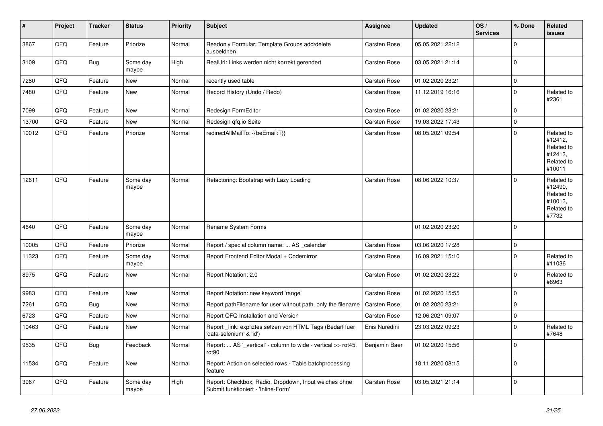| $\vert$ # | Project | <b>Tracker</b> | <b>Status</b>     | <b>Priority</b> | <b>Subject</b>                                                                               | Assignee            | <b>Updated</b>   | OS/<br><b>Services</b> | % Done      | <b>Related</b><br><b>issues</b>                                        |
|-----------|---------|----------------|-------------------|-----------------|----------------------------------------------------------------------------------------------|---------------------|------------------|------------------------|-------------|------------------------------------------------------------------------|
| 3867      | QFQ     | Feature        | Priorize          | Normal          | Readonly Formular: Template Groups add/delete<br>ausbeldnen                                  | Carsten Rose        | 05.05.2021 22:12 |                        | $\mathbf 0$ |                                                                        |
| 3109      | QFQ     | Bug            | Some day<br>maybe | High            | RealUrl: Links werden nicht korrekt gerendert                                                | Carsten Rose        | 03.05.2021 21:14 |                        | $\mathsf 0$ |                                                                        |
| 7280      | QFQ     | Feature        | New               | Normal          | recently used table                                                                          | Carsten Rose        | 01.02.2020 23:21 |                        | $\pmb{0}$   |                                                                        |
| 7480      | QFQ     | Feature        | <b>New</b>        | Normal          | Record History (Undo / Redo)                                                                 | Carsten Rose        | 11.12.2019 16:16 |                        | $\mathbf 0$ | Related to<br>#2361                                                    |
| 7099      | QFQ     | Feature        | <b>New</b>        | Normal          | Redesign FormEditor                                                                          | Carsten Rose        | 01.02.2020 23:21 |                        | $\mathbf 0$ |                                                                        |
| 13700     | QFQ     | Feature        | <b>New</b>        | Normal          | Redesign qfq.io Seite                                                                        | Carsten Rose        | 19.03.2022 17:43 |                        | $\mathsf 0$ |                                                                        |
| 10012     | QFQ     | Feature        | Priorize          | Normal          | redirectAllMailTo: {{beEmail:T}}                                                             | <b>Carsten Rose</b> | 08.05.2021 09:54 |                        | $\mathbf 0$ | Related to<br>#12412,<br>Related to<br>#12413,<br>Related to<br>#10011 |
| 12611     | QFQ     | Feature        | Some day<br>maybe | Normal          | Refactoring: Bootstrap with Lazy Loading                                                     | Carsten Rose        | 08.06.2022 10:37 |                        | $\Omega$    | Related to<br>#12490,<br>Related to<br>#10013,<br>Related to<br>#7732  |
| 4640      | QFQ     | Feature        | Some day<br>maybe | Normal          | Rename System Forms                                                                          |                     | 01.02.2020 23:20 |                        | $\mathbf 0$ |                                                                        |
| 10005     | QFQ     | Feature        | Priorize          | Normal          | Report / special column name:  AS calendar                                                   | Carsten Rose        | 03.06.2020 17:28 |                        | $\pmb{0}$   |                                                                        |
| 11323     | QFQ     | Feature        | Some day<br>maybe | Normal          | Report Frontend Editor Modal + Codemirror                                                    | Carsten Rose        | 16.09.2021 15:10 |                        | $\mathbf 0$ | Related to<br>#11036                                                   |
| 8975      | QFQ     | Feature        | New               | Normal          | Report Notation: 2.0                                                                         | Carsten Rose        | 01.02.2020 23:22 |                        | $\Omega$    | Related to<br>#8963                                                    |
| 9983      | QFQ     | Feature        | New               | Normal          | Report Notation: new keyword 'range'                                                         | Carsten Rose        | 01.02.2020 15:55 |                        | $\mathbf 0$ |                                                                        |
| 7261      | QFQ     | <b>Bug</b>     | <b>New</b>        | Normal          | Report pathFilename for user without path, only the filename                                 | <b>Carsten Rose</b> | 01.02.2020 23:21 |                        | $\mathbf 0$ |                                                                        |
| 6723      | QFQ     | Feature        | New               | Normal          | Report QFQ Installation and Version                                                          | Carsten Rose        | 12.06.2021 09:07 |                        | $\mathbf 0$ |                                                                        |
| 10463     | QFQ     | Feature        | <b>New</b>        | Normal          | Report link: expliztes setzen von HTML Tags (Bedarf fuer<br>'data-selenium' & 'id')          | Enis Nuredini       | 23.03.2022 09:23 |                        | $\mathbf 0$ | Related to<br>#7648                                                    |
| 9535      | QFQ     | Bug            | Feedback          | Normal          | Report:  AS '_vertical' - column to wide - vertical >> rot45,<br>rot90                       | Benjamin Baer       | 01.02.2020 15:56 |                        | $\mathbf 0$ |                                                                        |
| 11534     | QFQ     | Feature        | New               | Normal          | Report: Action on selected rows - Table batchprocessing<br>feature                           |                     | 18.11.2020 08:15 |                        | $\mathbf 0$ |                                                                        |
| 3967      | QFQ     | Feature        | Some day<br>maybe | High            | Report: Checkbox, Radio, Dropdown, Input welches ohne<br>Submit funktioniert - 'Inline-Form' | Carsten Rose        | 03.05.2021 21:14 |                        | $\mathbf 0$ |                                                                        |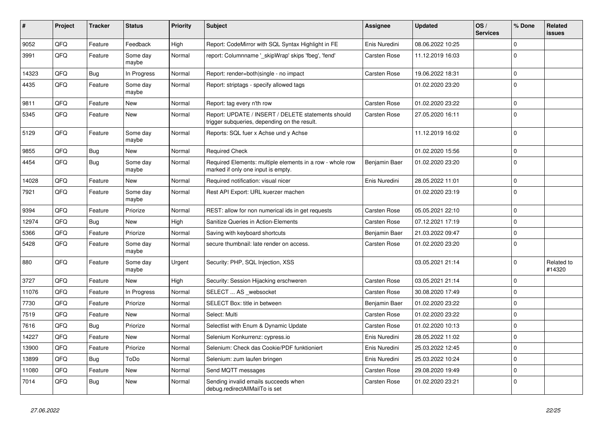| $\vert$ # | Project | <b>Tracker</b> | <b>Status</b>     | <b>Priority</b> | <b>Subject</b>                                                                                     | Assignee      | <b>Updated</b>   | OS/<br><b>Services</b> | % Done      | Related<br><b>issues</b> |
|-----------|---------|----------------|-------------------|-----------------|----------------------------------------------------------------------------------------------------|---------------|------------------|------------------------|-------------|--------------------------|
| 9052      | QFQ     | Feature        | Feedback          | High            | Report: CodeMirror with SQL Syntax Highlight in FE                                                 | Enis Nuredini | 08.06.2022 10:25 |                        | $\Omega$    |                          |
| 3991      | QFQ     | Feature        | Some day<br>maybe | Normal          | report: Columnname '_skipWrap' skips 'fbeg', 'fend'                                                | Carsten Rose  | 11.12.2019 16:03 |                        | $\Omega$    |                          |
| 14323     | QFQ     | <b>Bug</b>     | In Progress       | Normal          | Report: render=both single - no impact                                                             | Carsten Rose  | 19.06.2022 18:31 |                        | $\mathbf 0$ |                          |
| 4435      | QFQ     | Feature        | Some day<br>maybe | Normal          | Report: striptags - specify allowed tags                                                           |               | 01.02.2020 23:20 |                        | $\Omega$    |                          |
| 9811      | QFQ     | Feature        | New               | Normal          | Report: tag every n'th row                                                                         | Carsten Rose  | 01.02.2020 23:22 |                        | $\Omega$    |                          |
| 5345      | QFQ     | Feature        | New               | Normal          | Report: UPDATE / INSERT / DELETE statements should<br>trigger subqueries, depending on the result. | Carsten Rose  | 27.05.2020 16:11 |                        | $\Omega$    |                          |
| 5129      | QFQ     | Feature        | Some day<br>maybe | Normal          | Reports: SQL fuer x Achse und y Achse                                                              |               | 11.12.2019 16:02 |                        | $\Omega$    |                          |
| 9855      | QFQ     | <b>Bug</b>     | New               | Normal          | <b>Required Check</b>                                                                              |               | 01.02.2020 15:56 |                        | $\mathbf 0$ |                          |
| 4454      | QFQ     | Bug            | Some day<br>maybe | Normal          | Required Elements: multiple elements in a row - whole row<br>marked if only one input is empty.    | Benjamin Baer | 01.02.2020 23:20 |                        | $\Omega$    |                          |
| 14028     | QFQ     | Feature        | New               | Normal          | Required notification: visual nicer                                                                | Enis Nuredini | 28.05.2022 11:01 |                        | $\mathbf 0$ |                          |
| 7921      | QFQ     | Feature        | Some day<br>maybe | Normal          | Rest API Export: URL kuerzer machen                                                                |               | 01.02.2020 23:19 |                        | $\Omega$    |                          |
| 9394      | QFQ     | Feature        | Priorize          | Normal          | REST: allow for non numerical ids in get requests                                                  | Carsten Rose  | 05.05.2021 22:10 |                        | $\Omega$    |                          |
| 12974     | QFQ     | <b>Bug</b>     | <b>New</b>        | High            | Sanitize Queries in Action-Elements                                                                | Carsten Rose  | 07.12.2021 17:19 |                        | $\Omega$    |                          |
| 5366      | QFQ     | Feature        | Priorize          | Normal          | Saving with keyboard shortcuts                                                                     | Benjamin Baer | 21.03.2022 09:47 |                        | $\Omega$    |                          |
| 5428      | QFQ     | Feature        | Some day<br>maybe | Normal          | secure thumbnail: late render on access.                                                           | Carsten Rose  | 01.02.2020 23:20 |                        | $\Omega$    |                          |
| 880       | QFQ     | Feature        | Some day<br>maybe | Urgent          | Security: PHP, SQL Injection, XSS                                                                  |               | 03.05.2021 21:14 |                        | $\mathbf 0$ | Related to<br>#14320     |
| 3727      | QFQ     | Feature        | New               | High            | Security: Session Hijacking erschweren                                                             | Carsten Rose  | 03.05.2021 21:14 |                        | $\Omega$    |                          |
| 11076     | QFQ     | Feature        | In Progress       | Normal          | SELECT  AS _websocket                                                                              | Carsten Rose  | 30.08.2020 17:49 |                        | $\Omega$    |                          |
| 7730      | QFQ     | Feature        | Priorize          | Normal          | SELECT Box: title in between                                                                       | Benjamin Baer | 01.02.2020 23:22 |                        | $\Omega$    |                          |
| 7519      | QFQ     | Feature        | New               | Normal          | Select: Multi                                                                                      | Carsten Rose  | 01.02.2020 23:22 |                        | $\Omega$    |                          |
| 7616      | QFQ     | Bug            | Priorize          | Normal          | Selectlist with Enum & Dynamic Update                                                              | Carsten Rose  | 01.02.2020 10:13 |                        | $\Omega$    |                          |
| 14227     | QFQ     | Feature        | New               | Normal          | Selenium Konkurrenz: cypress.io                                                                    | Enis Nuredini | 28.05.2022 11:02 |                        | $\Omega$    |                          |
| 13900     | QFQ     | Feature        | Priorize          | Normal          | Selenium: Check das Cookie/PDF funktioniert                                                        | Enis Nuredini | 25.03.2022 12:45 |                        | $\Omega$    |                          |
| 13899     | QFQ     | Bug            | ToDo              | Normal          | Selenium: zum laufen bringen                                                                       | Enis Nuredini | 25.03.2022 10:24 |                        | $\Omega$    |                          |
| 11080     | QFQ     | Feature        | New               | Normal          | Send MQTT messages                                                                                 | Carsten Rose  | 29.08.2020 19:49 |                        | $\Omega$    |                          |
| 7014      | QFQ     | Bug            | New               | Normal          | Sending invalid emails succeeds when<br>debug.redirectAllMailTo is set                             | Carsten Rose  | 01.02.2020 23:21 |                        | $\Omega$    |                          |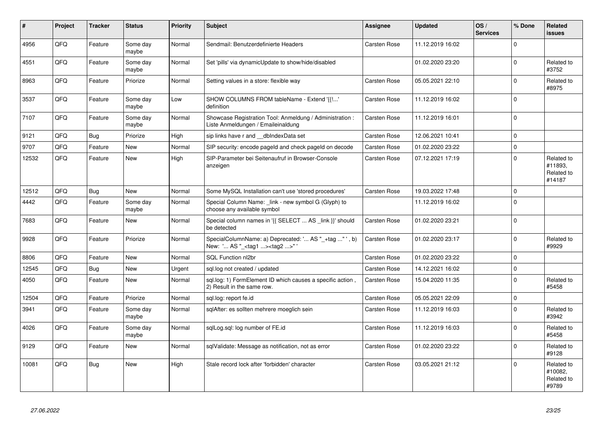| #     | Project    | <b>Tracker</b> | <b>Status</b>     | <b>Priority</b> | <b>Subject</b>                                                                                     | Assignee            | <b>Updated</b>   | OS/<br><b>Services</b> | % Done       | <b>Related</b><br><b>issues</b>               |
|-------|------------|----------------|-------------------|-----------------|----------------------------------------------------------------------------------------------------|---------------------|------------------|------------------------|--------------|-----------------------------------------------|
| 4956  | QFQ        | Feature        | Some day<br>maybe | Normal          | Sendmail: Benutzerdefinierte Headers                                                               | Carsten Rose        | 11.12.2019 16:02 |                        | $\mathbf 0$  |                                               |
| 4551  | QFQ        | Feature        | Some day<br>maybe | Normal          | Set 'pills' via dynamicUpdate to show/hide/disabled                                                |                     | 01.02.2020 23:20 |                        | $\mathbf 0$  | Related to<br>#3752                           |
| 8963  | QFQ        | Feature        | Priorize          | Normal          | Setting values in a store: flexible way                                                            | Carsten Rose        | 05.05.2021 22:10 |                        | $\mathbf 0$  | Related to<br>#8975                           |
| 3537  | QFQ        | Feature        | Some day<br>maybe | Low             | SHOW COLUMNS FROM tableName - Extend '{{!'<br>definition                                           | Carsten Rose        | 11.12.2019 16:02 |                        | $\mathbf 0$  |                                               |
| 7107  | QFQ        | Feature        | Some day<br>maybe | Normal          | Showcase Registration Tool: Anmeldung / Administration :<br>Liste Anmeldungen / Emaileinaldung     | Carsten Rose        | 11.12.2019 16:01 |                        | $\mathbf 0$  |                                               |
| 9121  | QFQ        | <b>Bug</b>     | Priorize          | High            | sip links have r and __dbIndexData set                                                             | Carsten Rose        | 12.06.2021 10:41 |                        | $\mathbf 0$  |                                               |
| 9707  | QFQ        | Feature        | <b>New</b>        | Normal          | SIP security: encode pageld and check pageld on decode                                             | <b>Carsten Rose</b> | 01.02.2020 23:22 |                        | $\mathbf 0$  |                                               |
| 12532 | QFQ        | Feature        | <b>New</b>        | High            | SIP-Parameter bei Seitenaufruf in Browser-Console<br>anzeigen                                      | Carsten Rose        | 07.12.2021 17:19 |                        | $\mathbf 0$  | Related to<br>#11893.<br>Related to<br>#14187 |
| 12512 | QFQ        | <b>Bug</b>     | <b>New</b>        | Normal          | Some MySQL Installation can't use 'stored procedures'                                              | Carsten Rose        | 19.03.2022 17:48 |                        | $\mathbf 0$  |                                               |
| 4442  | QFQ        | Feature        | Some day<br>maybe | Normal          | Special Column Name: link - new symbol G (Glyph) to<br>choose any available symbol                 |                     | 11.12.2019 16:02 |                        | $\mathbf 0$  |                                               |
| 7683  | QFQ        | Feature        | <b>New</b>        | Normal          | Special column names in '{{ SELECT  AS _link }}' should<br>be detected                             | Carsten Rose        | 01.02.2020 23:21 |                        | $\mathbf 0$  |                                               |
| 9928  | <b>OFO</b> | Feature        | Priorize          | Normal          | SpecialColumnName: a) Deprecated: ' AS "_+tag " ', b)<br>New: ' AS "_ <tag1><tag2>"'</tag2></tag1> | Carsten Rose        | 01.02.2020 23:17 |                        | $\Omega$     | Related to<br>#9929                           |
| 8806  | QFQ        | Feature        | <b>New</b>        | Normal          | SQL Function nl2br                                                                                 | Carsten Rose        | 01.02.2020 23:22 |                        | $\mathbf 0$  |                                               |
| 12545 | QFQ        | <b>Bug</b>     | <b>New</b>        | Urgent          | sql.log not created / updated                                                                      | Carsten Rose        | 14.12.2021 16:02 |                        | $\mathbf{0}$ |                                               |
| 4050  | QFQ        | Feature        | <b>New</b>        | Normal          | sql.log: 1) FormElement ID which causes a specific action,<br>2) Result in the same row.           | Carsten Rose        | 15.04.2020 11:35 |                        | $\mathbf 0$  | Related to<br>#5458                           |
| 12504 | QFQ        | Feature        | Priorize          | Normal          | sql.log: report fe.id                                                                              | Carsten Rose        | 05.05.2021 22:09 |                        | $\mathbf{0}$ |                                               |
| 3941  | QFQ        | Feature        | Some day<br>maybe | Normal          | sqlAfter: es sollten mehrere moeglich sein                                                         | Carsten Rose        | 11.12.2019 16:03 |                        | $\mathbf 0$  | Related to<br>#3942                           |
| 4026  | QFQ        | Feature        | Some day<br>maybe | Normal          | sqlLog.sql: log number of FE.id                                                                    | Carsten Rose        | 11.12.2019 16:03 |                        | $\Omega$     | Related to<br>#5458                           |
| 9129  | QFQ        | Feature        | New               | Normal          | sqlValidate: Message as notification, not as error                                                 | Carsten Rose        | 01.02.2020 23:22 |                        | $\Omega$     | Related to<br>#9128                           |
| 10081 | QFQ        | Bug            | New               | High            | Stale record lock after 'forbidden' character                                                      | Carsten Rose        | 03.05.2021 21:12 |                        | $\mathbf 0$  | Related to<br>#10082,<br>Related to<br>#9789  |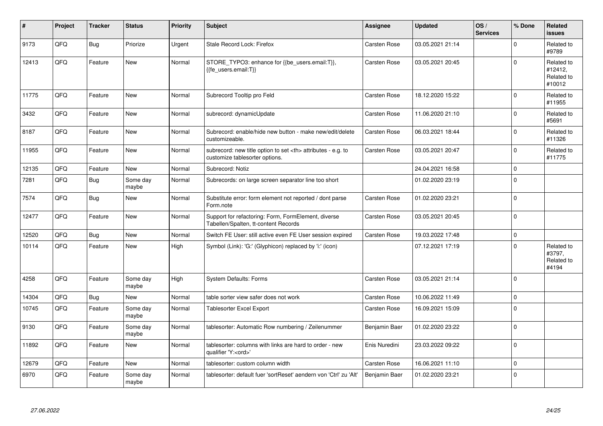| $\vert$ # | Project | <b>Tracker</b> | <b>Status</b>     | <b>Priority</b> | <b>Subject</b>                                                                                       | <b>Assignee</b>                                        | <b>Updated</b>   | OS/<br><b>Services</b> | % Done      | Related<br><b>issues</b>                      |                      |
|-----------|---------|----------------|-------------------|-----------------|------------------------------------------------------------------------------------------------------|--------------------------------------------------------|------------------|------------------------|-------------|-----------------------------------------------|----------------------|
| 9173      | QFQ     | Bug            | Priorize          | Urgent          | Stale Record Lock: Firefox                                                                           | Carsten Rose                                           | 03.05.2021 21:14 |                        | $\Omega$    | Related to<br>#9789                           |                      |
| 12413     | QFQ     | Feature        | <b>New</b>        | Normal          | STORE_TYPO3: enhance for {{be_users.email:T}},<br>{{fe users.email:T}}                               | Carsten Rose                                           | 03.05.2021 20:45 |                        | $\Omega$    | Related to<br>#12412,<br>Related to<br>#10012 |                      |
| 11775     | QFQ     | Feature        | <b>New</b>        | Normal          | Subrecord Tooltip pro Feld                                                                           | Carsten Rose                                           | 18.12.2020 15:22 |                        | $\mathbf 0$ | Related to<br>#11955                          |                      |
| 3432      | QFQ     | Feature        | <b>New</b>        | Normal          | subrecord: dynamicUpdate                                                                             | Carsten Rose                                           | 11.06.2020 21:10 |                        | $\mathbf 0$ | Related to<br>#5691                           |                      |
| 8187      | QFQ     | Feature        | <b>New</b>        | Normal          | Subrecord: enable/hide new button - make new/edit/delete<br>customizeable.                           | Carsten Rose                                           | 06.03.2021 18:44 |                        | $\Omega$    | Related to<br>#11326                          |                      |
| 11955     | QFQ     | Feature        | New               | Normal          | subrecord: new title option to set <th> attributes - e.g. to<br/>customize tablesorter options.</th> | attributes - e.g. to<br>customize tablesorter options. | Carsten Rose     | 03.05.2021 20:47       |             | $\mathbf 0$                                   | Related to<br>#11775 |
| 12135     | QFQ     | Feature        | <b>New</b>        | Normal          | Subrecord: Notiz                                                                                     |                                                        | 24.04.2021 16:58 |                        | $\mathbf 0$ |                                               |                      |
| 7281      | QFQ     | Bug            | Some day<br>maybe | Normal          | Subrecords: on large screen separator line too short                                                 |                                                        | 01.02.2020 23:19 |                        | $\Omega$    |                                               |                      |
| 7574      | QFQ     | Bug            | <b>New</b>        | Normal          | Substitute error: form element not reported / dont parse<br>Form.note                                | Carsten Rose                                           | 01.02.2020 23:21 |                        | $\Omega$    |                                               |                      |
| 12477     | QFQ     | Feature        | <b>New</b>        | Normal          | Support for refactoring: Form, FormElement, diverse<br>Tabellen/Spalten, tt-content Records          | Carsten Rose                                           | 03.05.2021 20:45 |                        | $\mathbf 0$ |                                               |                      |
| 12520     | QFQ     | Bug            | <b>New</b>        | Normal          | Switch FE User: still active even FE User session expired                                            | <b>Carsten Rose</b>                                    | 19.03.2022 17:48 |                        | $\mathbf 0$ |                                               |                      |
| 10114     | QFQ     | Feature        | <b>New</b>        | High            | Symbol (Link): 'G:' (Glyphicon) replaced by 'i:' (icon)                                              |                                                        | 07.12.2021 17:19 |                        | $\Omega$    | Related to<br>#3797,<br>Related to<br>#4194   |                      |
| 4258      | QFQ     | Feature        | Some day<br>maybe | High            | <b>System Defaults: Forms</b>                                                                        | Carsten Rose                                           | 03.05.2021 21:14 |                        | $\mathbf 0$ |                                               |                      |
| 14304     | QFQ     | <b>Bug</b>     | New               | Normal          | table sorter view safer does not work                                                                | Carsten Rose                                           | 10.06.2022 11:49 |                        | $\mathbf 0$ |                                               |                      |
| 10745     | QFQ     | Feature        | Some day<br>maybe | Normal          | <b>Tablesorter Excel Export</b>                                                                      | Carsten Rose                                           | 16.09.2021 15:09 |                        | $\Omega$    |                                               |                      |
| 9130      | QFQ     | Feature        | Some day<br>maybe | Normal          | tablesorter: Automatic Row numbering / Zeilenummer                                                   | Benjamin Baer                                          | 01.02.2020 23:22 |                        | $\mathbf 0$ |                                               |                      |
| 11892     | QFQ     | Feature        | <b>New</b>        | Normal          | tablesorter: columns with links are hard to order - new<br>qualifier 'Y: <ord>'</ord>                | Enis Nuredini                                          | 23.03.2022 09:22 |                        | $\mathbf 0$ |                                               |                      |
| 12679     | QFQ     | Feature        | <b>New</b>        | Normal          | tablesorter: custom column width                                                                     | Carsten Rose                                           | 16.06.2021 11:10 |                        | $\mathbf 0$ |                                               |                      |
| 6970      | QFQ     | Feature        | Some day<br>maybe | Normal          | tablesorter: default fuer 'sortReset' aendern von 'Ctrl' zu 'Alt'                                    | Benjamin Baer                                          | 01.02.2020 23:21 |                        | $\mathbf 0$ |                                               |                      |